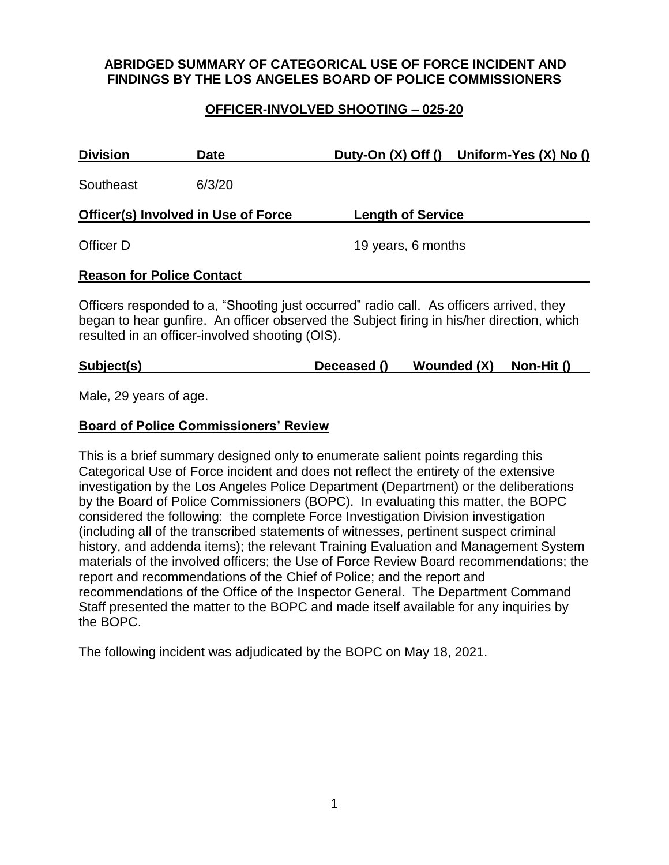# **ABRIDGED SUMMARY OF CATEGORICAL USE OF FORCE INCIDENT AND FINDINGS BY THE LOS ANGELES BOARD OF POLICE COMMISSIONERS**

## **OFFICER-INVOLVED SHOOTING – 025-20**

| <b>Division</b>                                                                         | <b>Date</b> |                          | Duty-On (X) Off () Uniform-Yes (X) No () |  |  |  |
|-----------------------------------------------------------------------------------------|-------------|--------------------------|------------------------------------------|--|--|--|
| Southeast                                                                               | 6/3/20      |                          |                                          |  |  |  |
| Officer(s) Involved in Use of Force                                                     |             | <b>Length of Service</b> |                                          |  |  |  |
| Officer D                                                                               |             | 19 years, 6 months       |                                          |  |  |  |
| <b>Reason for Police Contact</b>                                                        |             |                          |                                          |  |  |  |
| Officers responded to a, "Shooting just occurred" radio call. As officers arrived, they |             |                          |                                          |  |  |  |

began to hear gunfire. An officer observed the Subject firing in his/her direction, which resulted in an officer-involved shooting (OIS).

## **Subject(s) Deceased () Wounded (X) Non-Hit ()**

Male, 29 years of age.

### **Board of Police Commissioners' Review**

This is a brief summary designed only to enumerate salient points regarding this Categorical Use of Force incident and does not reflect the entirety of the extensive investigation by the Los Angeles Police Department (Department) or the deliberations by the Board of Police Commissioners (BOPC). In evaluating this matter, the BOPC considered the following: the complete Force Investigation Division investigation (including all of the transcribed statements of witnesses, pertinent suspect criminal history, and addenda items); the relevant Training Evaluation and Management System materials of the involved officers; the Use of Force Review Board recommendations; the report and recommendations of the Chief of Police; and the report and recommendations of the Office of the Inspector General. The Department Command Staff presented the matter to the BOPC and made itself available for any inquiries by the BOPC.

The following incident was adjudicated by the BOPC on May 18, 2021.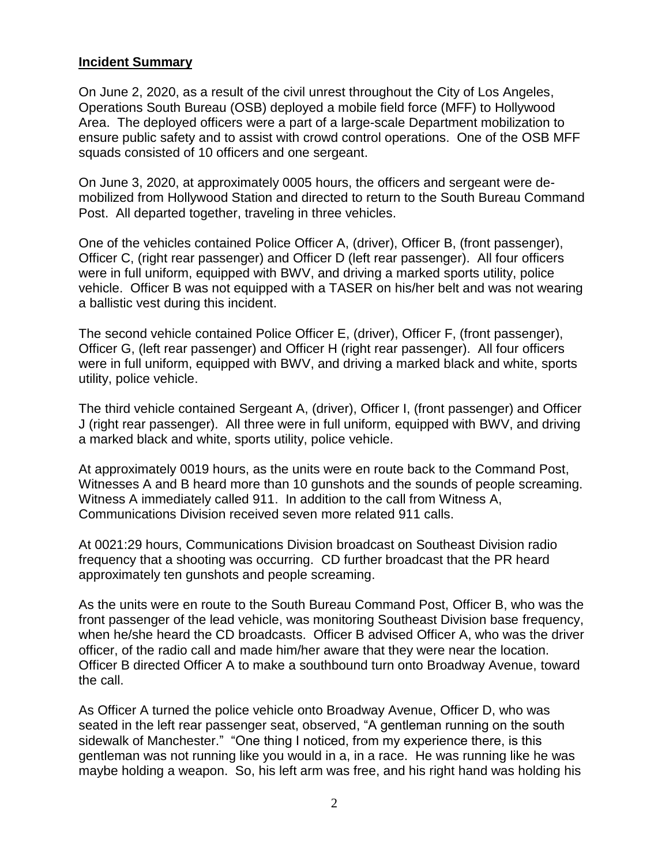## **Incident Summary**

On June 2, 2020, as a result of the civil unrest throughout the City of Los Angeles, Operations South Bureau (OSB) deployed a mobile field force (MFF) to Hollywood Area. The deployed officers were a part of a large-scale Department mobilization to ensure public safety and to assist with crowd control operations. One of the OSB MFF squads consisted of 10 officers and one sergeant.

On June 3, 2020, at approximately 0005 hours, the officers and sergeant were demobilized from Hollywood Station and directed to return to the South Bureau Command Post. All departed together, traveling in three vehicles.

One of the vehicles contained Police Officer A, (driver), Officer B, (front passenger), Officer C, (right rear passenger) and Officer D (left rear passenger). All four officers were in full uniform, equipped with BWV, and driving a marked sports utility, police vehicle. Officer B was not equipped with a TASER on his/her belt and was not wearing a ballistic vest during this incident.

The second vehicle contained Police Officer E, (driver), Officer F, (front passenger), Officer G, (left rear passenger) and Officer H (right rear passenger). All four officers were in full uniform, equipped with BWV, and driving a marked black and white, sports utility, police vehicle.

The third vehicle contained Sergeant A, (driver), Officer I, (front passenger) and Officer J (right rear passenger). All three were in full uniform, equipped with BWV, and driving a marked black and white, sports utility, police vehicle.

At approximately 0019 hours, as the units were en route back to the Command Post, Witnesses A and B heard more than 10 gunshots and the sounds of people screaming. Witness A immediately called 911. In addition to the call from Witness A, Communications Division received seven more related 911 calls.

At 0021:29 hours, Communications Division broadcast on Southeast Division radio frequency that a shooting was occurring. CD further broadcast that the PR heard approximately ten gunshots and people screaming.

As the units were en route to the South Bureau Command Post, Officer B, who was the front passenger of the lead vehicle, was monitoring Southeast Division base frequency, when he/she heard the CD broadcasts. Officer B advised Officer A, who was the driver officer, of the radio call and made him/her aware that they were near the location. Officer B directed Officer A to make a southbound turn onto Broadway Avenue, toward the call.

As Officer A turned the police vehicle onto Broadway Avenue, Officer D, who was seated in the left rear passenger seat, observed, "A gentleman running on the south sidewalk of Manchester." "One thing I noticed, from my experience there, is this gentleman was not running like you would in a, in a race. He was running like he was maybe holding a weapon. So, his left arm was free, and his right hand was holding his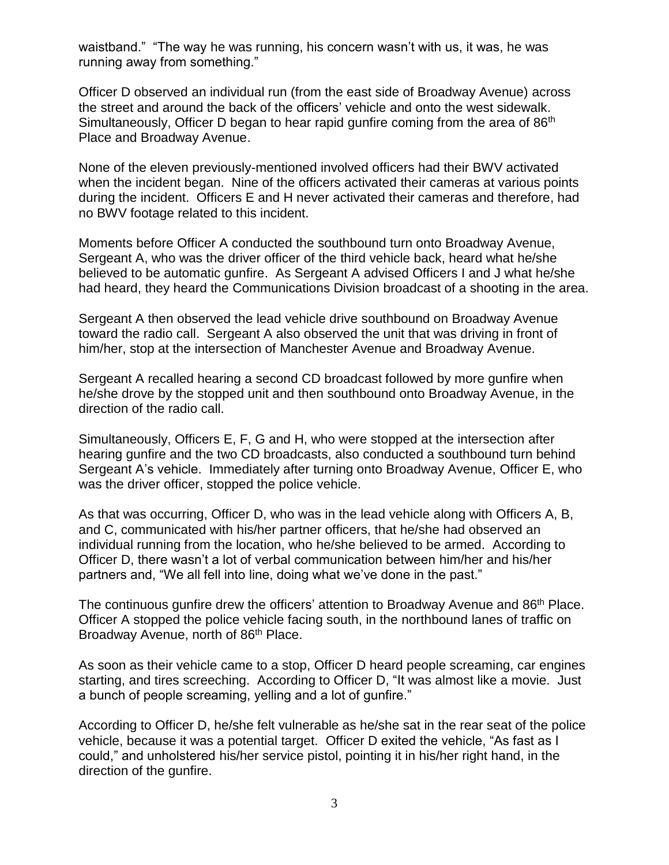waistband." "The way he was running, his concern wasn't with us, it was, he was running away from something."

Officer D observed an individual run (from the east side of Broadway Avenue) across the street and around the back of the officers' vehicle and onto the west sidewalk. Simultaneously, Officer D began to hear rapid gunfire coming from the area of 86<sup>th</sup> Place and Broadway Avenue.

None of the eleven previously-mentioned involved officers had their BWV activated when the incident began. Nine of the officers activated their cameras at various points during the incident. Officers E and H never activated their cameras and therefore, had no BWV footage related to this incident.

Moments before Officer A conducted the southbound turn onto Broadway Avenue, Sergeant A, who was the driver officer of the third vehicle back, heard what he/she believed to be automatic gunfire. As Sergeant A advised Officers I and J what he/she had heard, they heard the Communications Division broadcast of a shooting in the area.

Sergeant A then observed the lead vehicle drive southbound on Broadway Avenue toward the radio call. Sergeant A also observed the unit that was driving in front of him/her, stop at the intersection of Manchester Avenue and Broadway Avenue.

Sergeant A recalled hearing a second CD broadcast followed by more gunfire when he/she drove by the stopped unit and then southbound onto Broadway Avenue, in the direction of the radio call.

Simultaneously, Officers E, F, G and H, who were stopped at the intersection after hearing gunfire and the two CD broadcasts, also conducted a southbound turn behind Sergeant A's vehicle. Immediately after turning onto Broadway Avenue, Officer E, who was the driver officer, stopped the police vehicle.

As that was occurring, Officer D, who was in the lead vehicle along with Officers A, B, and C, communicated with his/her partner officers, that he/she had observed an individual running from the location, who he/she believed to be armed. According to Officer D, there wasn't a lot of verbal communication between him/her and his/her partners and, "We all fell into line, doing what we've done in the past."

The continuous gunfire drew the officers' attention to Broadway Avenue and 86<sup>th</sup> Place. Officer A stopped the police vehicle facing south, in the northbound lanes of traffic on Broadway Avenue, north of 86<sup>th</sup> Place.

As soon as their vehicle came to a stop, Officer D heard people screaming, car engines starting, and tires screeching. According to Officer D, "It was almost like a movie. Just a bunch of people screaming, yelling and a lot of gunfire."

According to Officer D, he/she felt vulnerable as he/she sat in the rear seat of the police vehicle, because it was a potential target. Officer D exited the vehicle, "As fast as I could," and unholstered his/her service pistol, pointing it in his/her right hand, in the direction of the gunfire.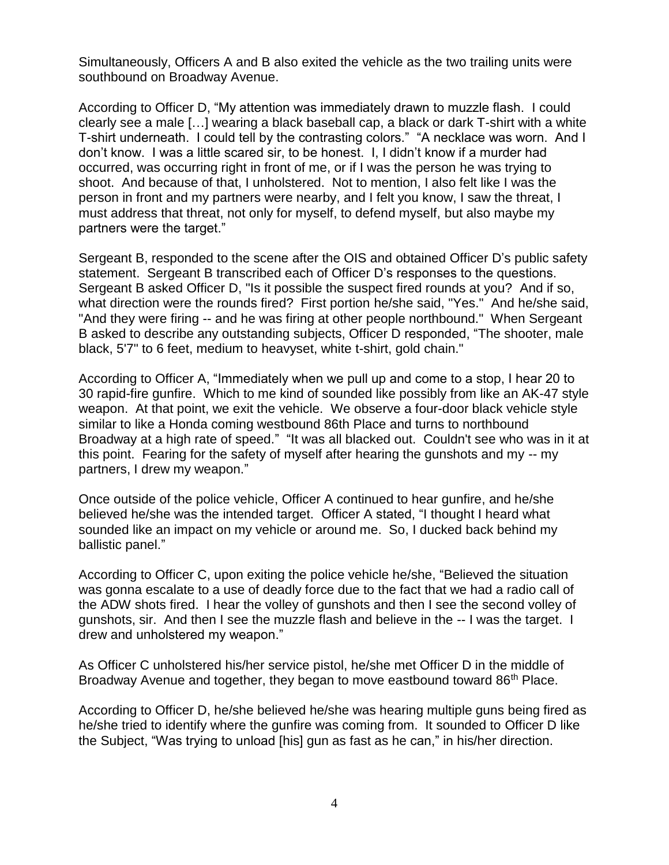Simultaneously, Officers A and B also exited the vehicle as the two trailing units were southbound on Broadway Avenue.

According to Officer D, "My attention was immediately drawn to muzzle flash. I could clearly see a male […] wearing a black baseball cap, a black or dark T-shirt with a white T-shirt underneath. I could tell by the contrasting colors." "A necklace was worn. And I don't know. I was a little scared sir, to be honest. I, I didn't know if a murder had occurred, was occurring right in front of me, or if I was the person he was trying to shoot. And because of that, I unholstered. Not to mention, I also felt like I was the person in front and my partners were nearby, and I felt you know, I saw the threat, I must address that threat, not only for myself, to defend myself, but also maybe my partners were the target."

Sergeant B, responded to the scene after the OIS and obtained Officer D's public safety statement. Sergeant B transcribed each of Officer D's responses to the questions. Sergeant B asked Officer D, "Is it possible the suspect fired rounds at you? And if so, what direction were the rounds fired? First portion he/she said, "Yes." And he/she said, "And they were firing -- and he was firing at other people northbound." When Sergeant B asked to describe any outstanding subjects, Officer D responded, "The shooter, male black, 5'7" to 6 feet, medium to heavyset, white t-shirt, gold chain."

According to Officer A, "Immediately when we pull up and come to a stop, I hear 20 to 30 rapid-fire gunfire. Which to me kind of sounded like possibly from like an AK-47 style weapon. At that point, we exit the vehicle. We observe a four-door black vehicle style similar to like a Honda coming westbound 86th Place and turns to northbound Broadway at a high rate of speed." "It was all blacked out. Couldn't see who was in it at this point. Fearing for the safety of myself after hearing the gunshots and my -- my partners, I drew my weapon."

Once outside of the police vehicle, Officer A continued to hear gunfire, and he/she believed he/she was the intended target. Officer A stated, "I thought I heard what sounded like an impact on my vehicle or around me. So, I ducked back behind my ballistic panel."

According to Officer C, upon exiting the police vehicle he/she, "Believed the situation was gonna escalate to a use of deadly force due to the fact that we had a radio call of the ADW shots fired. I hear the volley of gunshots and then I see the second volley of gunshots, sir. And then I see the muzzle flash and believe in the -- I was the target. I drew and unholstered my weapon."

As Officer C unholstered his/her service pistol, he/she met Officer D in the middle of Broadway Avenue and together, they began to move eastbound toward 86<sup>th</sup> Place.

According to Officer D, he/she believed he/she was hearing multiple guns being fired as he/she tried to identify where the gunfire was coming from. It sounded to Officer D like the Subject, "Was trying to unload [his] gun as fast as he can," in his/her direction.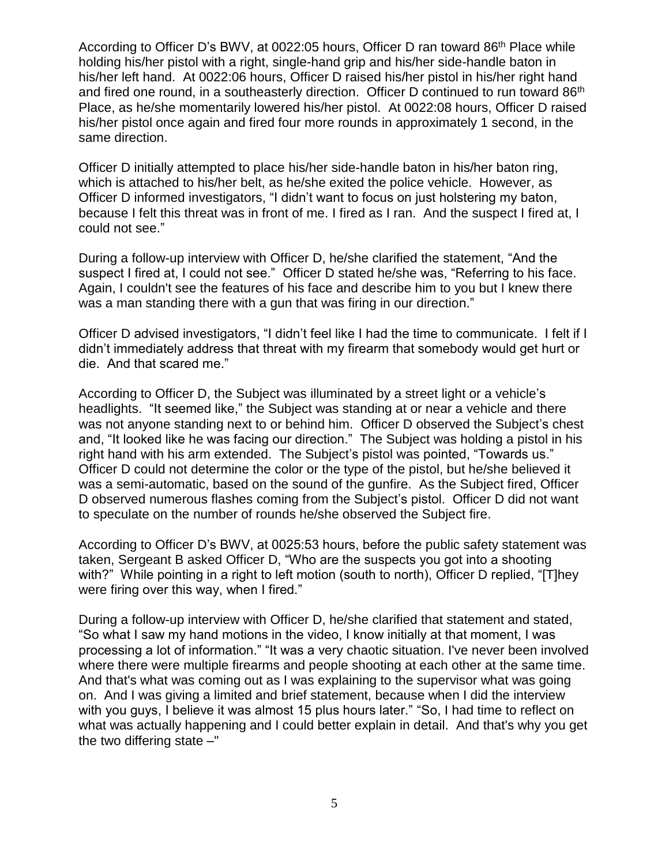According to Officer D's BWV, at 0022:05 hours, Officer D ran toward 86<sup>th</sup> Place while holding his/her pistol with a right, single-hand grip and his/her side-handle baton in his/her left hand. At 0022:06 hours, Officer D raised his/her pistol in his/her right hand and fired one round, in a southeasterly direction. Officer D continued to run toward 86<sup>th</sup> Place, as he/she momentarily lowered his/her pistol. At 0022:08 hours, Officer D raised his/her pistol once again and fired four more rounds in approximately 1 second, in the same direction.

Officer D initially attempted to place his/her side-handle baton in his/her baton ring, which is attached to his/her belt, as he/she exited the police vehicle. However, as Officer D informed investigators, "I didn't want to focus on just holstering my baton, because I felt this threat was in front of me. I fired as I ran. And the suspect I fired at, I could not see."

During a follow-up interview with Officer D, he/she clarified the statement, "And the suspect I fired at, I could not see." Officer D stated he/she was, "Referring to his face. Again, I couldn't see the features of his face and describe him to you but I knew there was a man standing there with a gun that was firing in our direction."

Officer D advised investigators, "I didn't feel like I had the time to communicate. I felt if I didn't immediately address that threat with my firearm that somebody would get hurt or die. And that scared me."

According to Officer D, the Subject was illuminated by a street light or a vehicle's headlights. "It seemed like," the Subject was standing at or near a vehicle and there was not anyone standing next to or behind him. Officer D observed the Subject's chest and, "It looked like he was facing our direction." The Subject was holding a pistol in his right hand with his arm extended. The Subject's pistol was pointed, "Towards us." Officer D could not determine the color or the type of the pistol, but he/she believed it was a semi-automatic, based on the sound of the gunfire. As the Subject fired, Officer D observed numerous flashes coming from the Subject's pistol. Officer D did not want to speculate on the number of rounds he/she observed the Subject fire.

According to Officer D's BWV, at 0025:53 hours, before the public safety statement was taken, Sergeant B asked Officer D, "Who are the suspects you got into a shooting with?" While pointing in a right to left motion (south to north), Officer D replied, "[T]hey were firing over this way, when I fired."

During a follow-up interview with Officer D, he/she clarified that statement and stated, "So what I saw my hand motions in the video, I know initially at that moment, I was processing a lot of information." "It was a very chaotic situation. I've never been involved where there were multiple firearms and people shooting at each other at the same time. And that's what was coming out as I was explaining to the supervisor what was going on. And I was giving a limited and brief statement, because when I did the interview with you guys, I believe it was almost 15 plus hours later." "So, I had time to reflect on what was actually happening and I could better explain in detail. And that's why you get the two differing state  $-$ "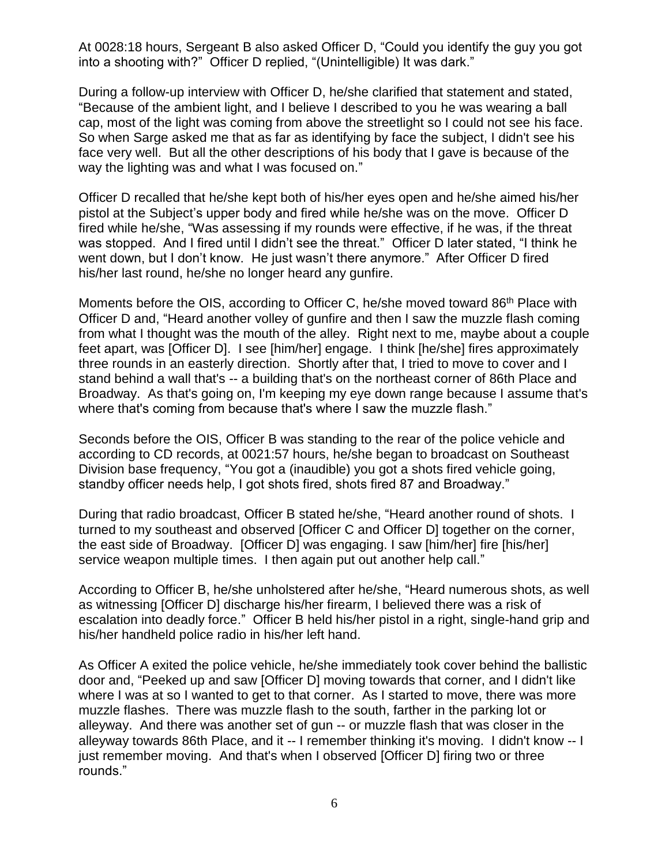At 0028:18 hours, Sergeant B also asked Officer D, "Could you identify the guy you got into a shooting with?" Officer D replied, "(Unintelligible) It was dark."

During a follow-up interview with Officer D, he/she clarified that statement and stated, "Because of the ambient light, and I believe I described to you he was wearing a ball cap, most of the light was coming from above the streetlight so I could not see his face. So when Sarge asked me that as far as identifying by face the subject, I didn't see his face very well. But all the other descriptions of his body that I gave is because of the way the lighting was and what I was focused on."

Officer D recalled that he/she kept both of his/her eyes open and he/she aimed his/her pistol at the Subject's upper body and fired while he/she was on the move. Officer D fired while he/she, "Was assessing if my rounds were effective, if he was, if the threat was stopped. And I fired until I didn't see the threat." Officer D later stated, "I think he went down, but I don't know. He just wasn't there anymore." After Officer D fired his/her last round, he/she no longer heard any gunfire.

Moments before the OIS, according to Officer C, he/she moved toward 86<sup>th</sup> Place with Officer D and, "Heard another volley of gunfire and then I saw the muzzle flash coming from what I thought was the mouth of the alley. Right next to me, maybe about a couple feet apart, was [Officer D]. I see [him/her] engage. I think [he/she] fires approximately three rounds in an easterly direction. Shortly after that, I tried to move to cover and I stand behind a wall that's -- a building that's on the northeast corner of 86th Place and Broadway. As that's going on, I'm keeping my eye down range because I assume that's where that's coming from because that's where I saw the muzzle flash."

Seconds before the OIS, Officer B was standing to the rear of the police vehicle and according to CD records, at 0021:57 hours, he/she began to broadcast on Southeast Division base frequency, "You got a (inaudible) you got a shots fired vehicle going, standby officer needs help, I got shots fired, shots fired 87 and Broadway."

During that radio broadcast, Officer B stated he/she, "Heard another round of shots. I turned to my southeast and observed [Officer C and Officer D] together on the corner, the east side of Broadway. [Officer D] was engaging. I saw [him/her] fire [his/her] service weapon multiple times. I then again put out another help call."

According to Officer B, he/she unholstered after he/she, "Heard numerous shots, as well as witnessing [Officer D] discharge his/her firearm, I believed there was a risk of escalation into deadly force." Officer B held his/her pistol in a right, single-hand grip and his/her handheld police radio in his/her left hand.

As Officer A exited the police vehicle, he/she immediately took cover behind the ballistic door and, "Peeked up and saw [Officer D] moving towards that corner, and I didn't like where I was at so I wanted to get to that corner. As I started to move, there was more muzzle flashes. There was muzzle flash to the south, farther in the parking lot or alleyway. And there was another set of gun -- or muzzle flash that was closer in the alleyway towards 86th Place, and it -- I remember thinking it's moving. I didn't know -- I just remember moving. And that's when I observed [Officer D] firing two or three rounds."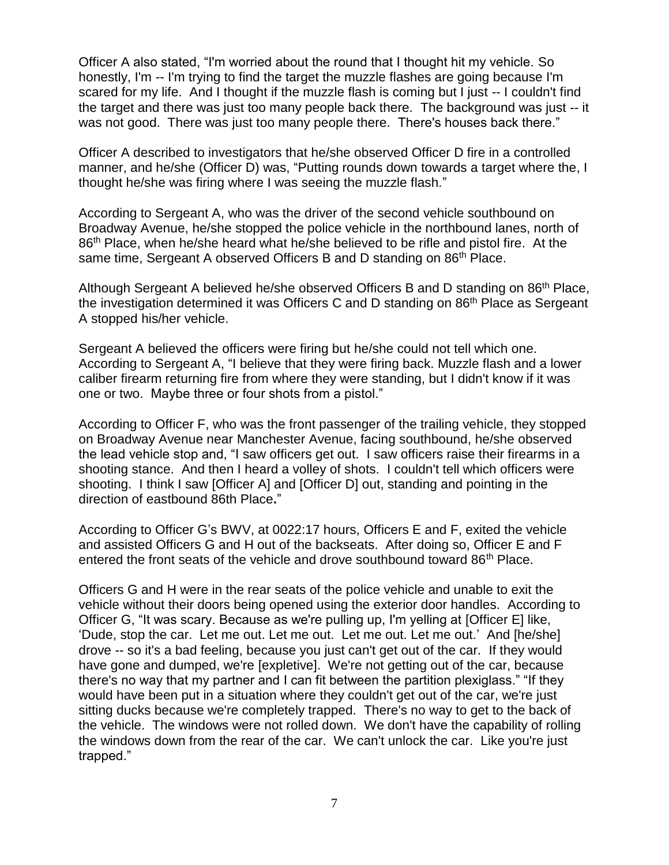Officer A also stated, "I'm worried about the round that I thought hit my vehicle. So honestly, I'm -- I'm trying to find the target the muzzle flashes are going because I'm scared for my life. And I thought if the muzzle flash is coming but I just -- I couldn't find the target and there was just too many people back there. The background was just -- it was not good. There was just too many people there. There's houses back there."

Officer A described to investigators that he/she observed Officer D fire in a controlled manner, and he/she (Officer D) was, "Putting rounds down towards a target where the, I thought he/she was firing where I was seeing the muzzle flash."

According to Sergeant A, who was the driver of the second vehicle southbound on Broadway Avenue, he/she stopped the police vehicle in the northbound lanes, north of 86<sup>th</sup> Place, when he/she heard what he/she believed to be rifle and pistol fire. At the same time, Sergeant A observed Officers B and D standing on 86<sup>th</sup> Place.

Although Sergeant A believed he/she observed Officers B and D standing on 86<sup>th</sup> Place, the investigation determined it was Officers C and D standing on 86<sup>th</sup> Place as Sergeant A stopped his/her vehicle.

Sergeant A believed the officers were firing but he/she could not tell which one. According to Sergeant A, "I believe that they were firing back. Muzzle flash and a lower caliber firearm returning fire from where they were standing, but I didn't know if it was one or two. Maybe three or four shots from a pistol."

According to Officer F, who was the front passenger of the trailing vehicle, they stopped on Broadway Avenue near Manchester Avenue, facing southbound, he/she observed the lead vehicle stop and, "I saw officers get out. I saw officers raise their firearms in a shooting stance. And then I heard a volley of shots. I couldn't tell which officers were shooting. I think I saw [Officer A] and [Officer D] out, standing and pointing in the direction of eastbound 86th Place**.**"

According to Officer G's BWV, at 0022:17 hours, Officers E and F, exited the vehicle and assisted Officers G and H out of the backseats. After doing so, Officer E and F entered the front seats of the vehicle and drove southbound toward 86<sup>th</sup> Place.

Officers G and H were in the rear seats of the police vehicle and unable to exit the vehicle without their doors being opened using the exterior door handles. According to Officer G, "It was scary. Because as we're pulling up, I'm yelling at [Officer E] like, 'Dude, stop the car. Let me out. Let me out. Let me out. Let me out.' And [he/she] drove -- so it's a bad feeling, because you just can't get out of the car. If they would have gone and dumped, we're [expletive]. We're not getting out of the car, because there's no way that my partner and I can fit between the partition plexiglass." "If they would have been put in a situation where they couldn't get out of the car, we're just sitting ducks because we're completely trapped. There's no way to get to the back of the vehicle. The windows were not rolled down. We don't have the capability of rolling the windows down from the rear of the car. We can't unlock the car. Like you're just trapped."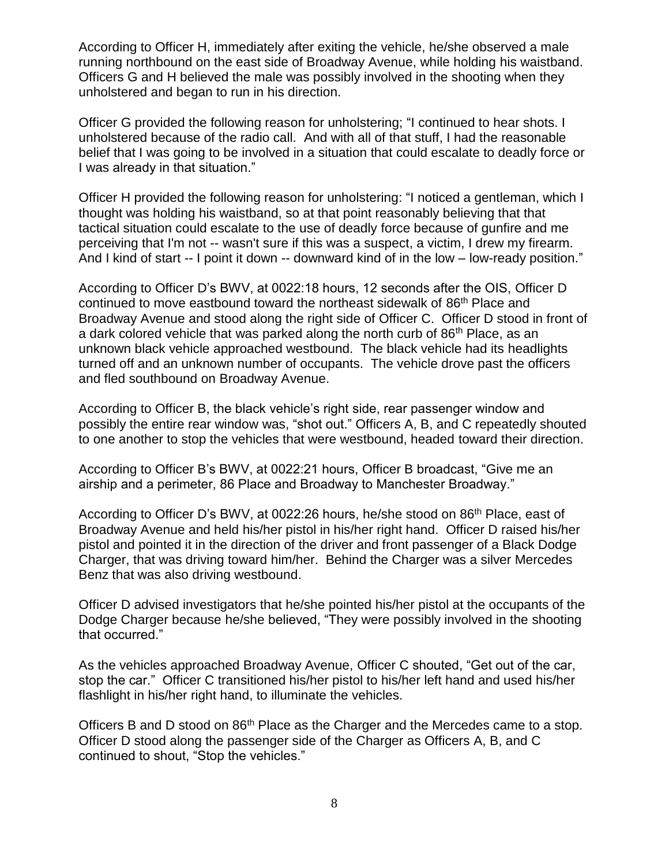According to Officer H, immediately after exiting the vehicle, he/she observed a male running northbound on the east side of Broadway Avenue, while holding his waistband. Officers G and H believed the male was possibly involved in the shooting when they unholstered and began to run in his direction.

Officer G provided the following reason for unholstering; "I continued to hear shots. I unholstered because of the radio call. And with all of that stuff, I had the reasonable belief that I was going to be involved in a situation that could escalate to deadly force or I was already in that situation."

Officer H provided the following reason for unholstering: "I noticed a gentleman, which I thought was holding his waistband, so at that point reasonably believing that that tactical situation could escalate to the use of deadly force because of gunfire and me perceiving that I'm not -- wasn't sure if this was a suspect, a victim, I drew my firearm. And I kind of start -- I point it down -- downward kind of in the low – low-ready position."

According to Officer D's BWV, at 0022:18 hours, 12 seconds after the OIS, Officer D continued to move eastbound toward the northeast sidewalk of  $86<sup>th</sup>$  Place and Broadway Avenue and stood along the right side of Officer C. Officer D stood in front of a dark colored vehicle that was parked along the north curb of 86<sup>th</sup> Place, as an unknown black vehicle approached westbound. The black vehicle had its headlights turned off and an unknown number of occupants. The vehicle drove past the officers and fled southbound on Broadway Avenue.

According to Officer B, the black vehicle's right side, rear passenger window and possibly the entire rear window was, "shot out." Officers A, B, and C repeatedly shouted to one another to stop the vehicles that were westbound, headed toward their direction.

According to Officer B's BWV, at 0022:21 hours, Officer B broadcast, "Give me an airship and a perimeter, 86 Place and Broadway to Manchester Broadway."

According to Officer D's BWV, at 0022:26 hours, he/she stood on 86<sup>th</sup> Place, east of Broadway Avenue and held his/her pistol in his/her right hand. Officer D raised his/her pistol and pointed it in the direction of the driver and front passenger of a Black Dodge Charger, that was driving toward him/her. Behind the Charger was a silver Mercedes Benz that was also driving westbound.

Officer D advised investigators that he/she pointed his/her pistol at the occupants of the Dodge Charger because he/she believed, "They were possibly involved in the shooting that occurred."

As the vehicles approached Broadway Avenue, Officer C shouted, "Get out of the car, stop the car." Officer C transitioned his/her pistol to his/her left hand and used his/her flashlight in his/her right hand, to illuminate the vehicles.

Officers B and D stood on 86<sup>th</sup> Place as the Charger and the Mercedes came to a stop. Officer D stood along the passenger side of the Charger as Officers A, B, and C continued to shout, "Stop the vehicles."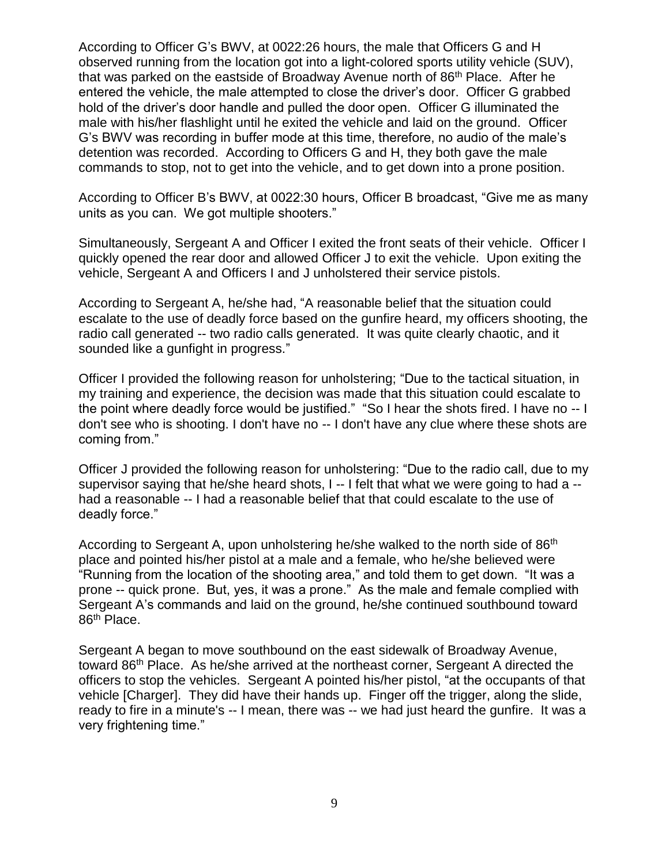According to Officer G's BWV, at 0022:26 hours, the male that Officers G and H observed running from the location got into a light-colored sports utility vehicle (SUV), that was parked on the eastside of Broadway Avenue north of 86<sup>th</sup> Place. After he entered the vehicle, the male attempted to close the driver's door. Officer G grabbed hold of the driver's door handle and pulled the door open. Officer G illuminated the male with his/her flashlight until he exited the vehicle and laid on the ground. Officer G's BWV was recording in buffer mode at this time, therefore, no audio of the male's detention was recorded.According to Officers G and H, they both gave the male commands to stop, not to get into the vehicle, and to get down into a prone position.

According to Officer B's BWV, at 0022:30 hours, Officer B broadcast, "Give me as many units as you can. We got multiple shooters."

Simultaneously, Sergeant A and Officer I exited the front seats of their vehicle. Officer I quickly opened the rear door and allowed Officer J to exit the vehicle. Upon exiting the vehicle, Sergeant A and Officers I and J unholstered their service pistols.

According to Sergeant A, he/she had, "A reasonable belief that the situation could escalate to the use of deadly force based on the gunfire heard, my officers shooting, the radio call generated -- two radio calls generated. It was quite clearly chaotic, and it sounded like a gunfight in progress."

Officer I provided the following reason for unholstering; "Due to the tactical situation, in my training and experience, the decision was made that this situation could escalate to the point where deadly force would be justified." "So I hear the shots fired. I have no -- I don't see who is shooting. I don't have no -- I don't have any clue where these shots are coming from."

Officer J provided the following reason for unholstering: "Due to the radio call, due to my supervisor saying that he/she heard shots, I -- I felt that what we were going to had a - had a reasonable -- I had a reasonable belief that that could escalate to the use of deadly force."

According to Sergeant A, upon unholstering he/she walked to the north side of 86<sup>th</sup> place and pointed his/her pistol at a male and a female, who he/she believed were "Running from the location of the shooting area," and told them to get down. "It was a prone -- quick prone. But, yes, it was a prone." As the male and female complied with Sergeant A's commands and laid on the ground, he/she continued southbound toward 86th Place.

Sergeant A began to move southbound on the east sidewalk of Broadway Avenue, toward 86<sup>th</sup> Place. As he/she arrived at the northeast corner, Sergeant A directed the officers to stop the vehicles. Sergeant A pointed his/her pistol, "at the occupants of that vehicle [Charger]. They did have their hands up. Finger off the trigger, along the slide, ready to fire in a minute's -- I mean, there was -- we had just heard the gunfire. It was a very frightening time."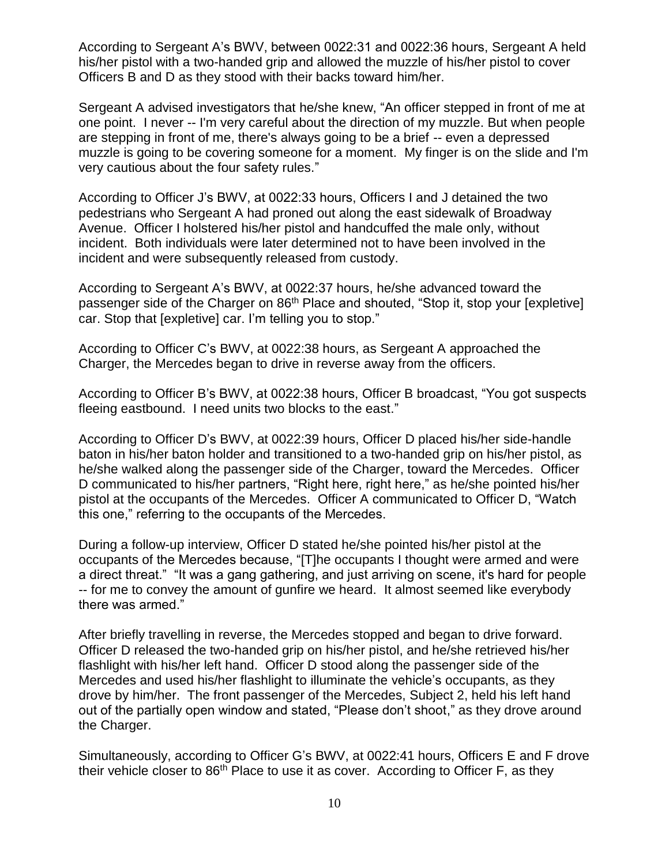According to Sergeant A's BWV, between 0022:31 and 0022:36 hours, Sergeant A held his/her pistol with a two-handed grip and allowed the muzzle of his/her pistol to cover Officers B and D as they stood with their backs toward him/her.

Sergeant A advised investigators that he/she knew, "An officer stepped in front of me at one point. I never -- I'm very careful about the direction of my muzzle. But when people are stepping in front of me, there's always going to be a brief -- even a depressed muzzle is going to be covering someone for a moment. My finger is on the slide and I'm very cautious about the four safety rules."

According to Officer J's BWV, at 0022:33 hours, Officers I and J detained the two pedestrians who Sergeant A had proned out along the east sidewalk of Broadway Avenue. Officer I holstered his/her pistol and handcuffed the male only, without incident. Both individuals were later determined not to have been involved in the incident and were subsequently released from custody.

According to Sergeant A's BWV, at 0022:37 hours, he/she advanced toward the passenger side of the Charger on 86<sup>th</sup> Place and shouted, "Stop it, stop your [expletive] car. Stop that [expletive] car. I'm telling you to stop."

According to Officer C's BWV, at 0022:38 hours, as Sergeant A approached the Charger, the Mercedes began to drive in reverse away from the officers.

According to Officer B's BWV, at 0022:38 hours, Officer B broadcast, "You got suspects fleeing eastbound. I need units two blocks to the east."

According to Officer D's BWV, at 0022:39 hours, Officer D placed his/her side-handle baton in his/her baton holder and transitioned to a two-handed grip on his/her pistol, as he/she walked along the passenger side of the Charger, toward the Mercedes. Officer D communicated to his/her partners, "Right here, right here," as he/she pointed his/her pistol at the occupants of the Mercedes. Officer A communicated to Officer D, "Watch this one," referring to the occupants of the Mercedes.

During a follow-up interview, Officer D stated he/she pointed his/her pistol at the occupants of the Mercedes because, "[T]he occupants I thought were armed and were a direct threat." "It was a gang gathering, and just arriving on scene, it's hard for people -- for me to convey the amount of gunfire we heard. It almost seemed like everybody there was armed."

After briefly travelling in reverse, the Mercedes stopped and began to drive forward. Officer D released the two-handed grip on his/her pistol, and he/she retrieved his/her flashlight with his/her left hand. Officer D stood along the passenger side of the Mercedes and used his/her flashlight to illuminate the vehicle's occupants, as they drove by him/her. The front passenger of the Mercedes, Subject 2, held his left hand out of the partially open window and stated, "Please don't shoot," as they drove around the Charger.

Simultaneously, according to Officer G's BWV, at 0022:41 hours, Officers E and F drove their vehicle closer to  $86<sup>th</sup>$  Place to use it as cover. According to Officer F, as they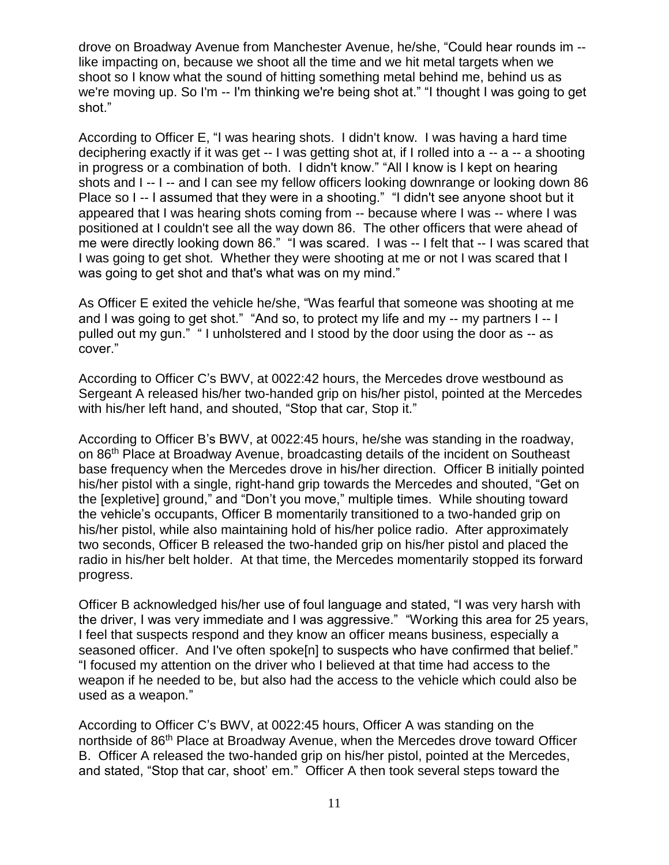drove on Broadway Avenue from Manchester Avenue, he/she, "Could hear rounds im - like impacting on, because we shoot all the time and we hit metal targets when we shoot so I know what the sound of hitting something metal behind me, behind us as we're moving up. So I'm -- I'm thinking we're being shot at." "I thought I was going to get shot."

According to Officer E, "I was hearing shots. I didn't know. I was having a hard time deciphering exactly if it was get -- I was getting shot at, if I rolled into a -- a -- a shooting in progress or a combination of both. I didn't know." "All I know is I kept on hearing shots and I -- I -- and I can see my fellow officers looking downrange or looking down 86 Place so I -- I assumed that they were in a shooting." "I didn't see anyone shoot but it appeared that I was hearing shots coming from -- because where I was -- where I was positioned at I couldn't see all the way down 86. The other officers that were ahead of me were directly looking down 86." "I was scared. I was -- I felt that -- I was scared that I was going to get shot. Whether they were shooting at me or not I was scared that I was going to get shot and that's what was on my mind."

As Officer E exited the vehicle he/she, "Was fearful that someone was shooting at me and I was going to get shot." "And so, to protect my life and my -- my partners I -- I pulled out my gun." " I unholstered and I stood by the door using the door as -- as cover."

According to Officer C's BWV, at 0022:42 hours, the Mercedes drove westbound as Sergeant A released his/her two-handed grip on his/her pistol, pointed at the Mercedes with his/her left hand, and shouted, "Stop that car, Stop it."

According to Officer B's BWV, at 0022:45 hours, he/she was standing in the roadway, on 86th Place at Broadway Avenue, broadcasting details of the incident on Southeast base frequency when the Mercedes drove in his/her direction. Officer B initially pointed his/her pistol with a single, right-hand grip towards the Mercedes and shouted, "Get on the [expletive] ground," and "Don't you move," multiple times. While shouting toward the vehicle's occupants, Officer B momentarily transitioned to a two-handed grip on his/her pistol, while also maintaining hold of his/her police radio. After approximately two seconds, Officer B released the two-handed grip on his/her pistol and placed the radio in his/her belt holder. At that time, the Mercedes momentarily stopped its forward progress.

Officer B acknowledged his/her use of foul language and stated, "I was very harsh with the driver, I was very immediate and I was aggressive." "Working this area for 25 years, I feel that suspects respond and they know an officer means business, especially a seasoned officer. And I've often spoke[n] to suspects who have confirmed that belief." "I focused my attention on the driver who I believed at that time had access to the weapon if he needed to be, but also had the access to the vehicle which could also be used as a weapon."

According to Officer C's BWV, at 0022:45 hours, Officer A was standing on the northside of 86<sup>th</sup> Place at Broadway Avenue, when the Mercedes drove toward Officer B. Officer A released the two-handed grip on his/her pistol, pointed at the Mercedes, and stated, "Stop that car, shoot' em." Officer A then took several steps toward the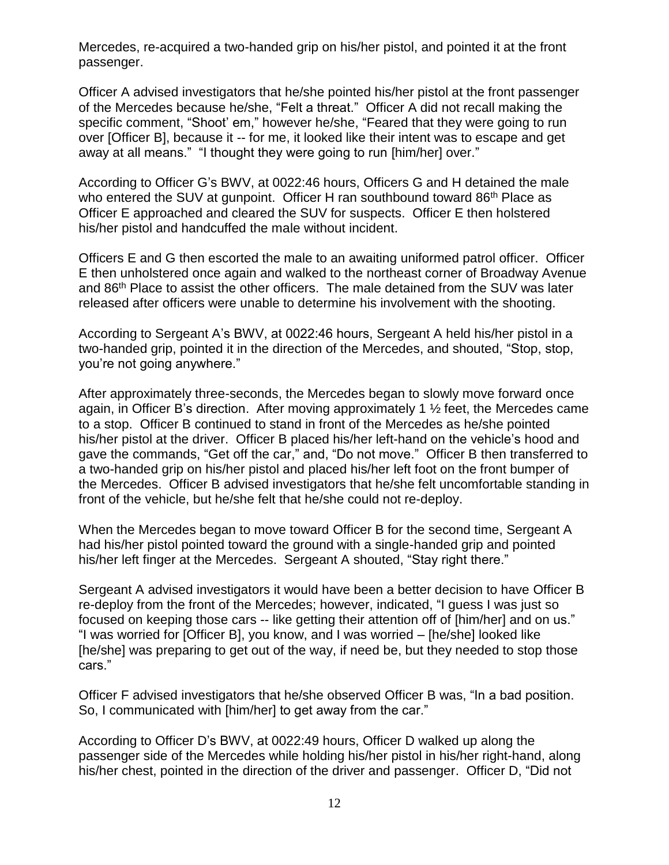Mercedes, re-acquired a two-handed grip on his/her pistol, and pointed it at the front passenger.

Officer A advised investigators that he/she pointed his/her pistol at the front passenger of the Mercedes because he/she, "Felt a threat." Officer A did not recall making the specific comment, "Shoot' em," however he/she, "Feared that they were going to run over [Officer B], because it -- for me, it looked like their intent was to escape and get away at all means." "I thought they were going to run [him/her] over."

According to Officer G's BWV, at 0022:46 hours, Officers G and H detained the male who entered the SUV at gunpoint. Officer H ran southbound toward 86<sup>th</sup> Place as Officer E approached and cleared the SUV for suspects. Officer E then holstered his/her pistol and handcuffed the male without incident.

Officers E and G then escorted the male to an awaiting uniformed patrol officer. Officer E then unholstered once again and walked to the northeast corner of Broadway Avenue and 86th Place to assist the other officers. The male detained from the SUV was later released after officers were unable to determine his involvement with the shooting.

According to Sergeant A's BWV, at 0022:46 hours, Sergeant A held his/her pistol in a two-handed grip, pointed it in the direction of the Mercedes, and shouted, "Stop, stop, you're not going anywhere."

After approximately three-seconds, the Mercedes began to slowly move forward once again, in Officer B's direction. After moving approximately 1 ½ feet, the Mercedes came to a stop. Officer B continued to stand in front of the Mercedes as he/she pointed his/her pistol at the driver. Officer B placed his/her left-hand on the vehicle's hood and gave the commands, "Get off the car," and, "Do not move." Officer B then transferred to a two-handed grip on his/her pistol and placed his/her left foot on the front bumper of the Mercedes. Officer B advised investigators that he/she felt uncomfortable standing in front of the vehicle, but he/she felt that he/she could not re-deploy.

When the Mercedes began to move toward Officer B for the second time, Sergeant A had his/her pistol pointed toward the ground with a single-handed grip and pointed his/her left finger at the Mercedes. Sergeant A shouted, "Stay right there."

Sergeant A advised investigators it would have been a better decision to have Officer B re-deploy from the front of the Mercedes; however, indicated, "I guess I was just so focused on keeping those cars -- like getting their attention off of [him/her] and on us." "I was worried for [Officer B], you know, and I was worried – [he/she] looked like [he/she] was preparing to get out of the way, if need be, but they needed to stop those cars."

Officer F advised investigators that he/she observed Officer B was, "In a bad position. So, I communicated with [him/her] to get away from the car."

According to Officer D's BWV, at 0022:49 hours, Officer D walked up along the passenger side of the Mercedes while holding his/her pistol in his/her right-hand, along his/her chest, pointed in the direction of the driver and passenger. Officer D, "Did not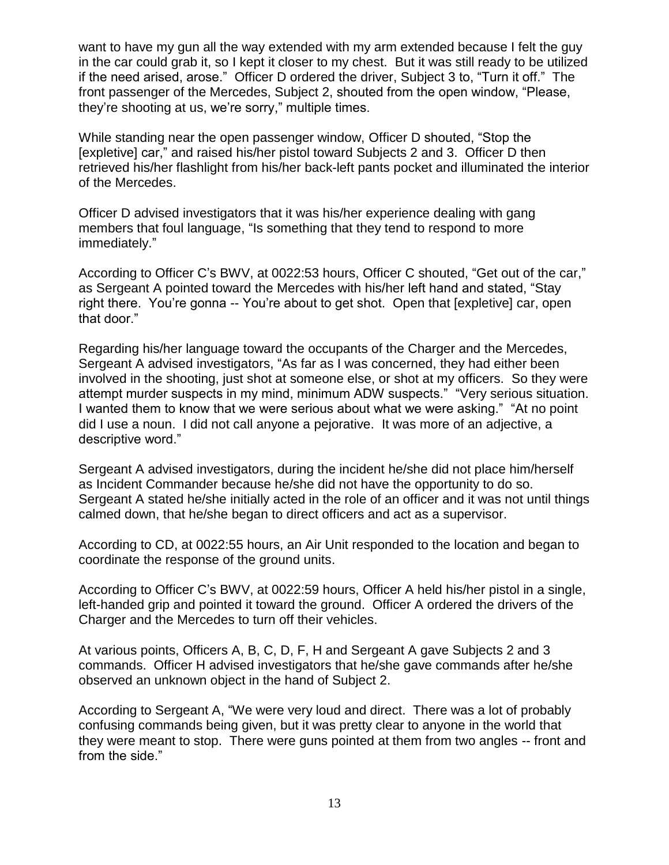want to have my gun all the way extended with my arm extended because I felt the guy in the car could grab it, so I kept it closer to my chest. But it was still ready to be utilized if the need arised, arose." Officer D ordered the driver, Subject 3 to, "Turn it off." The front passenger of the Mercedes, Subject 2, shouted from the open window, "Please, they're shooting at us, we're sorry," multiple times.

While standing near the open passenger window, Officer D shouted, "Stop the [expletive] car," and raised his/her pistol toward Subjects 2 and 3. Officer D then retrieved his/her flashlight from his/her back-left pants pocket and illuminated the interior of the Mercedes.

Officer D advised investigators that it was his/her experience dealing with gang members that foul language, "Is something that they tend to respond to more immediately."

According to Officer C's BWV, at 0022:53 hours, Officer C shouted, "Get out of the car," as Sergeant A pointed toward the Mercedes with his/her left hand and stated, "Stay right there. You're gonna -- You're about to get shot. Open that [expletive] car, open that door."

Regarding his/her language toward the occupants of the Charger and the Mercedes, Sergeant A advised investigators, "As far as I was concerned, they had either been involved in the shooting, just shot at someone else, or shot at my officers. So they were attempt murder suspects in my mind, minimum ADW suspects." "Very serious situation. I wanted them to know that we were serious about what we were asking." "At no point did I use a noun. I did not call anyone a pejorative. It was more of an adjective, a descriptive word."

Sergeant A advised investigators, during the incident he/she did not place him/herself as Incident Commander because he/she did not have the opportunity to do so. Sergeant A stated he/she initially acted in the role of an officer and it was not until things calmed down, that he/she began to direct officers and act as a supervisor.

According to CD, at 0022:55 hours, an Air Unit responded to the location and began to coordinate the response of the ground units.

According to Officer C's BWV, at 0022:59 hours, Officer A held his/her pistol in a single, left-handed grip and pointed it toward the ground. Officer A ordered the drivers of the Charger and the Mercedes to turn off their vehicles.

At various points, Officers A, B, C, D, F, H and Sergeant A gave Subjects 2 and 3 commands. Officer H advised investigators that he/she gave commands after he/she observed an unknown object in the hand of Subject 2.

According to Sergeant A, "We were very loud and direct. There was a lot of probably confusing commands being given, but it was pretty clear to anyone in the world that they were meant to stop. There were guns pointed at them from two angles -- front and from the side."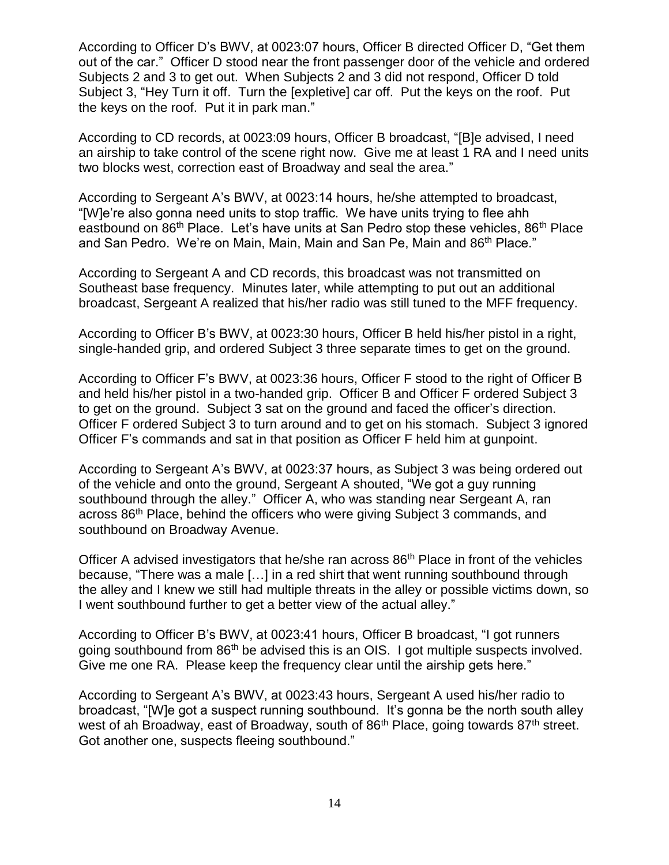According to Officer D's BWV, at 0023:07 hours, Officer B directed Officer D, "Get them out of the car." Officer D stood near the front passenger door of the vehicle and ordered Subjects 2 and 3 to get out. When Subjects 2 and 3 did not respond, Officer D told Subject 3, "Hey Turn it off. Turn the [expletive] car off. Put the keys on the roof. Put the keys on the roof. Put it in park man."

According to CD records, at 0023:09 hours, Officer B broadcast, "[B]e advised, I need an airship to take control of the scene right now. Give me at least 1 RA and I need units two blocks west, correction east of Broadway and seal the area."

According to Sergeant A's BWV, at 0023:14 hours, he/she attempted to broadcast, "[W]e're also gonna need units to stop traffic. We have units trying to flee ahh eastbound on 86<sup>th</sup> Place. Let's have units at San Pedro stop these vehicles, 86<sup>th</sup> Place and San Pedro. We're on Main, Main, Main and San Pe, Main and 86<sup>th</sup> Place."

According to Sergeant A and CD records, this broadcast was not transmitted on Southeast base frequency. Minutes later, while attempting to put out an additional broadcast, Sergeant A realized that his/her radio was still tuned to the MFF frequency.

According to Officer B's BWV, at 0023:30 hours, Officer B held his/her pistol in a right, single-handed grip, and ordered Subject 3 three separate times to get on the ground.

According to Officer F's BWV, at 0023:36 hours, Officer F stood to the right of Officer B and held his/her pistol in a two-handed grip. Officer B and Officer F ordered Subject 3 to get on the ground. Subject 3 sat on the ground and faced the officer's direction. Officer F ordered Subject 3 to turn around and to get on his stomach. Subject 3 ignored Officer F's commands and sat in that position as Officer F held him at gunpoint.

According to Sergeant A's BWV, at 0023:37 hours, as Subject 3 was being ordered out of the vehicle and onto the ground, Sergeant A shouted, "We got a guy running southbound through the alley." Officer A, who was standing near Sergeant A, ran across 86th Place, behind the officers who were giving Subject 3 commands, and southbound on Broadway Avenue.

Officer A advised investigators that he/she ran across 86<sup>th</sup> Place in front of the vehicles because, "There was a male […] in a red shirt that went running southbound through the alley and I knew we still had multiple threats in the alley or possible victims down, so I went southbound further to get a better view of the actual alley."

According to Officer B's BWV, at 0023:41 hours, Officer B broadcast, "I got runners going southbound from 86th be advised this is an OIS. I got multiple suspects involved. Give me one RA. Please keep the frequency clear until the airship gets here."

According to Sergeant A's BWV, at 0023:43 hours, Sergeant A used his/her radio to broadcast, "[W]e got a suspect running southbound. It's gonna be the north south alley west of ah Broadway, east of Broadway, south of 86<sup>th</sup> Place, going towards 87<sup>th</sup> street. Got another one, suspects fleeing southbound."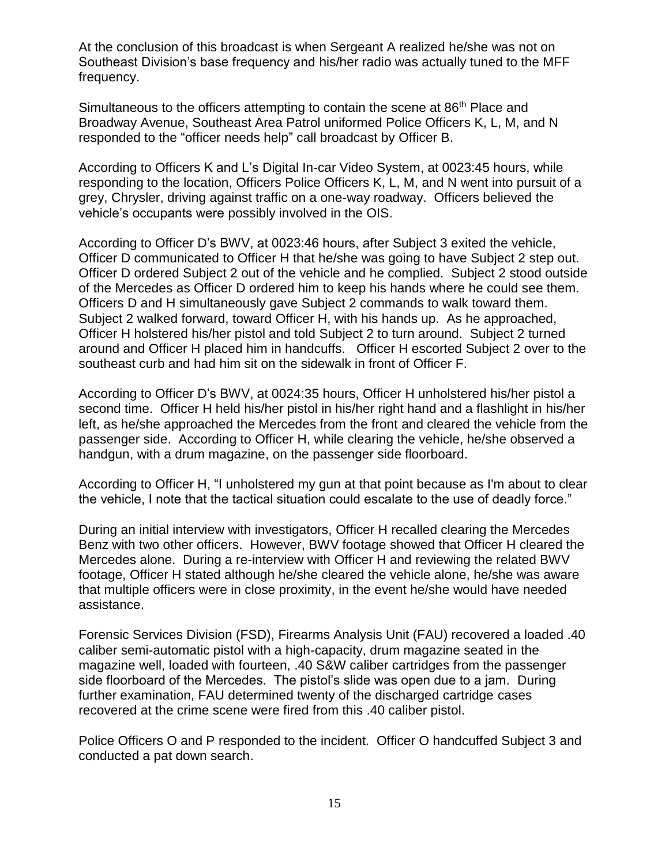At the conclusion of this broadcast is when Sergeant A realized he/she was not on Southeast Division's base frequency and his/her radio was actually tuned to the MFF frequency.

Simultaneous to the officers attempting to contain the scene at 86<sup>th</sup> Place and Broadway Avenue, Southeast Area Patrol uniformed Police Officers K, L, M, and N responded to the "officer needs help" call broadcast by Officer B.

According to Officers K and L's Digital In-car Video System, at 0023:45 hours, while responding to the location, Officers Police Officers K, L, M, and N went into pursuit of a grey, Chrysler, driving against traffic on a one-way roadway. Officers believed the vehicle's occupants were possibly involved in the OIS.

According to Officer D's BWV, at 0023:46 hours, after Subject 3 exited the vehicle, Officer D communicated to Officer H that he/she was going to have Subject 2 step out. Officer D ordered Subject 2 out of the vehicle and he complied. Subject 2 stood outside of the Mercedes as Officer D ordered him to keep his hands where he could see them. Officers D and H simultaneously gave Subject 2 commands to walk toward them. Subject 2 walked forward, toward Officer H, with his hands up. As he approached, Officer H holstered his/her pistol and told Subject 2 to turn around. Subject 2 turned around and Officer H placed him in handcuffs. Officer H escorted Subject 2 over to the southeast curb and had him sit on the sidewalk in front of Officer F.

According to Officer D's BWV, at 0024:35 hours, Officer H unholstered his/her pistol a second time. Officer H held his/her pistol in his/her right hand and a flashlight in his/her left, as he/she approached the Mercedes from the front and cleared the vehicle from the passenger side. According to Officer H, while clearing the vehicle, he/she observed a handgun, with a drum magazine, on the passenger side floorboard.

According to Officer H, "I unholstered my gun at that point because as I'm about to clear the vehicle, I note that the tactical situation could escalate to the use of deadly force."

During an initial interview with investigators, Officer H recalled clearing the Mercedes Benz with two other officers. However, BWV footage showed that Officer H cleared the Mercedes alone. During a re-interview with Officer H and reviewing the related BWV footage, Officer H stated although he/she cleared the vehicle alone, he/she was aware that multiple officers were in close proximity, in the event he/she would have needed assistance.

Forensic Services Division (FSD), Firearms Analysis Unit (FAU) recovered a loaded .40 caliber semi-automatic pistol with a high-capacity, drum magazine seated in the magazine well, loaded with fourteen, .40 S&W caliber cartridges from the passenger side floorboard of the Mercedes. The pistol's slide was open due to a jam. During further examination, FAU determined twenty of the discharged cartridge cases recovered at the crime scene were fired from this .40 caliber pistol.

Police Officers O and P responded to the incident. Officer O handcuffed Subject 3 and conducted a pat down search.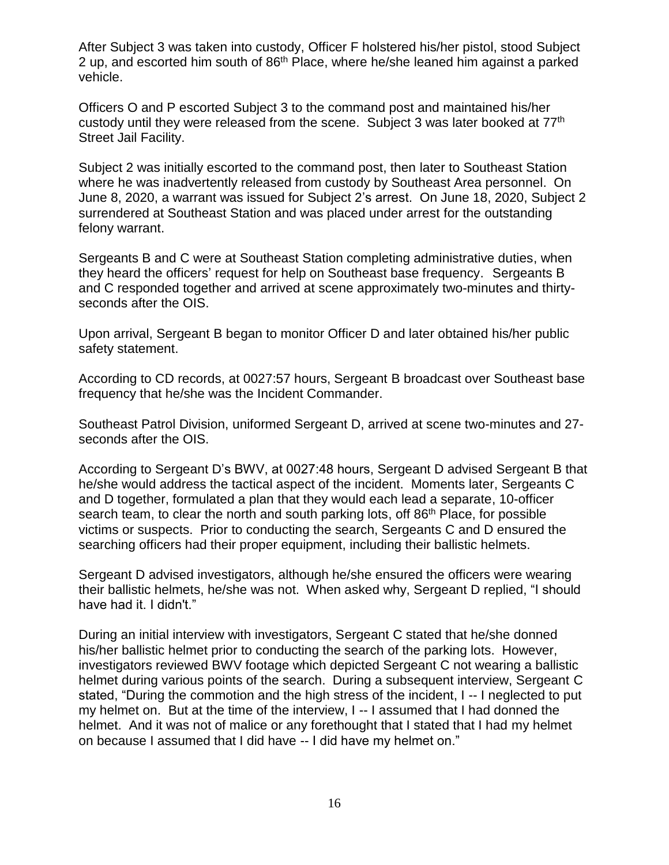After Subject 3 was taken into custody, Officer F holstered his/her pistol, stood Subject 2 up, and escorted him south of 86<sup>th</sup> Place, where he/she leaned him against a parked vehicle.

Officers O and P escorted Subject 3 to the command post and maintained his/her custody until they were released from the scene. Subject 3 was later booked at 77<sup>th</sup> Street Jail Facility.

Subject 2 was initially escorted to the command post, then later to Southeast Station where he was inadvertently released from custody by Southeast Area personnel. On June 8, 2020, a warrant was issued for Subject 2's arrest. On June 18, 2020, Subject 2 surrendered at Southeast Station and was placed under arrest for the outstanding felony warrant.

Sergeants B and C were at Southeast Station completing administrative duties, when they heard the officers' request for help on Southeast base frequency. Sergeants B and C responded together and arrived at scene approximately two-minutes and thirtyseconds after the OIS.

Upon arrival, Sergeant B began to monitor Officer D and later obtained his/her public safety statement.

According to CD records, at 0027:57 hours, Sergeant B broadcast over Southeast base frequency that he/she was the Incident Commander.

Southeast Patrol Division, uniformed Sergeant D, arrived at scene two-minutes and 27 seconds after the OIS.

According to Sergeant D's BWV, at 0027:48 hours, Sergeant D advised Sergeant B that he/she would address the tactical aspect of the incident. Moments later, Sergeants C and D together, formulated a plan that they would each lead a separate, 10-officer search team, to clear the north and south parking lots, off 86<sup>th</sup> Place, for possible victims or suspects. Prior to conducting the search, Sergeants C and D ensured the searching officers had their proper equipment, including their ballistic helmets.

Sergeant D advised investigators, although he/she ensured the officers were wearing their ballistic helmets, he/she was not. When asked why, Sergeant D replied, "I should have had it. I didn't."

During an initial interview with investigators, Sergeant C stated that he/she donned his/her ballistic helmet prior to conducting the search of the parking lots. However, investigators reviewed BWV footage which depicted Sergeant C not wearing a ballistic helmet during various points of the search. During a subsequent interview, Sergeant C stated, "During the commotion and the high stress of the incident, I -- I neglected to put my helmet on. But at the time of the interview, I -- I assumed that I had donned the helmet. And it was not of malice or any forethought that I stated that I had my helmet on because I assumed that I did have -- I did have my helmet on."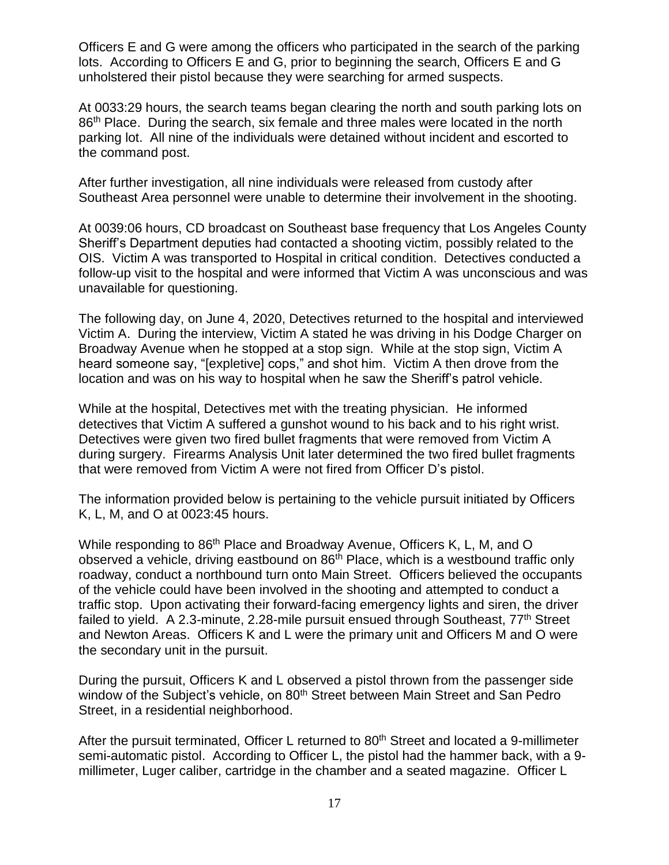Officers E and G were among the officers who participated in the search of the parking lots. According to Officers E and G, prior to beginning the search, Officers E and G unholstered their pistol because they were searching for armed suspects.

At 0033:29 hours, the search teams began clearing the north and south parking lots on 86<sup>th</sup> Place. During the search, six female and three males were located in the north parking lot. All nine of the individuals were detained without incident and escorted to the command post.

After further investigation, all nine individuals were released from custody after Southeast Area personnel were unable to determine their involvement in the shooting.

At 0039:06 hours, CD broadcast on Southeast base frequency that Los Angeles County Sheriff's Department deputies had contacted a shooting victim, possibly related to the OIS. Victim A was transported to Hospital in critical condition. Detectives conducted a follow-up visit to the hospital and were informed that Victim A was unconscious and was unavailable for questioning.

The following day, on June 4, 2020, Detectives returned to the hospital and interviewed Victim A. During the interview, Victim A stated he was driving in his Dodge Charger on Broadway Avenue when he stopped at a stop sign. While at the stop sign, Victim A heard someone say, "[expletive] cops," and shot him. Victim A then drove from the location and was on his way to hospital when he saw the Sheriff's patrol vehicle.

While at the hospital, Detectives met with the treating physician. He informed detectives that Victim A suffered a gunshot wound to his back and to his right wrist. Detectives were given two fired bullet fragments that were removed from Victim A during surgery. Firearms Analysis Unit later determined the two fired bullet fragments that were removed from Victim A were not fired from Officer D's pistol.

The information provided below is pertaining to the vehicle pursuit initiated by Officers K, L, M, and O at 0023:45 hours.

While responding to 86<sup>th</sup> Place and Broadway Avenue, Officers K, L, M, and O observed a vehicle, driving eastbound on 86<sup>th</sup> Place, which is a westbound traffic only roadway, conduct a northbound turn onto Main Street. Officers believed the occupants of the vehicle could have been involved in the shooting and attempted to conduct a traffic stop. Upon activating their forward-facing emergency lights and siren, the driver failed to yield. A 2.3-minute,  $2.28$ -mile pursuit ensued through Southeast,  $77<sup>th</sup>$  Street and Newton Areas. Officers K and L were the primary unit and Officers M and O were the secondary unit in the pursuit.

During the pursuit, Officers K and L observed a pistol thrown from the passenger side window of the Subject's vehicle, on 80<sup>th</sup> Street between Main Street and San Pedro Street, in a residential neighborhood.

After the pursuit terminated, Officer L returned to 80<sup>th</sup> Street and located a 9-millimeter semi-automatic pistol. According to Officer L, the pistol had the hammer back, with a 9 millimeter, Luger caliber, cartridge in the chamber and a seated magazine. Officer L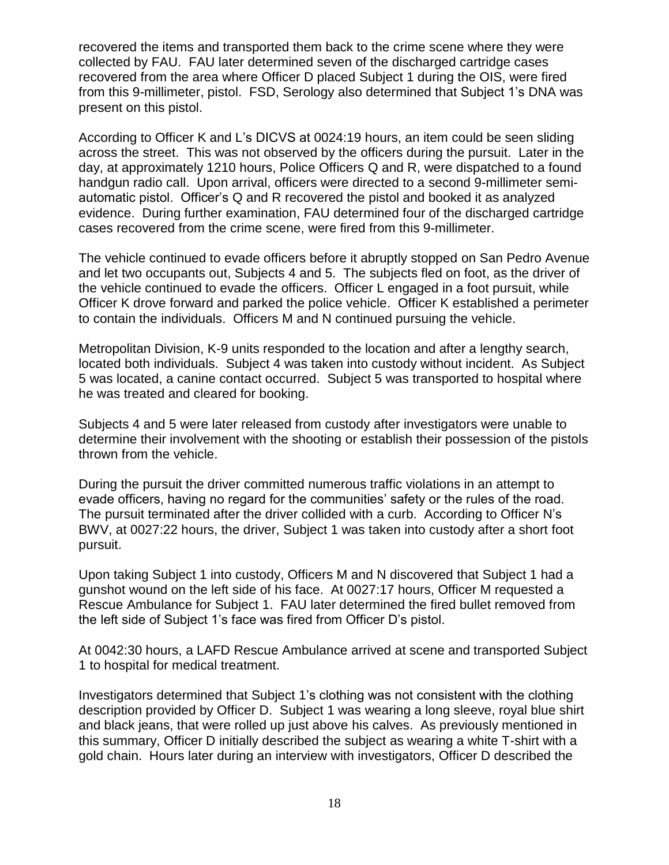recovered the items and transported them back to the crime scene where they were collected by FAU. FAU later determined seven of the discharged cartridge cases recovered from the area where Officer D placed Subject 1 during the OIS, were fired from this 9-millimeter, pistol. FSD, Serology also determined that Subject 1's DNA was present on this pistol.

According to Officer K and L's DICVS at 0024:19 hours, an item could be seen sliding across the street. This was not observed by the officers during the pursuit. Later in the day, at approximately 1210 hours, Police Officers Q and R, were dispatched to a found handgun radio call. Upon arrival, officers were directed to a second 9-millimeter semiautomatic pistol. Officer's Q and R recovered the pistol and booked it as analyzed evidence. During further examination, FAU determined four of the discharged cartridge cases recovered from the crime scene, were fired from this 9-millimeter.

The vehicle continued to evade officers before it abruptly stopped on San Pedro Avenue and let two occupants out, Subjects 4 and 5. The subjects fled on foot, as the driver of the vehicle continued to evade the officers. Officer L engaged in a foot pursuit, while Officer K drove forward and parked the police vehicle. Officer K established a perimeter to contain the individuals. Officers M and N continued pursuing the vehicle.

Metropolitan Division, K-9 units responded to the location and after a lengthy search, located both individuals. Subject 4 was taken into custody without incident. As Subject 5 was located, a canine contact occurred. Subject 5 was transported to hospital where he was treated and cleared for booking.

Subjects 4 and 5 were later released from custody after investigators were unable to determine their involvement with the shooting or establish their possession of the pistols thrown from the vehicle.

During the pursuit the driver committed numerous traffic violations in an attempt to evade officers, having no regard for the communities' safety or the rules of the road. The pursuit terminated after the driver collided with a curb. According to Officer N's BWV, at 0027:22 hours, the driver, Subject 1 was taken into custody after a short foot pursuit.

Upon taking Subject 1 into custody, Officers M and N discovered that Subject 1 had a gunshot wound on the left side of his face. At 0027:17 hours, Officer M requested a Rescue Ambulance for Subject 1. FAU later determined the fired bullet removed from the left side of Subject 1's face was fired from Officer D's pistol.

At 0042:30 hours, a LAFD Rescue Ambulance arrived at scene and transported Subject 1 to hospital for medical treatment.

Investigators determined that Subject 1's clothing was not consistent with the clothing description provided by Officer D. Subject 1 was wearing a long sleeve, royal blue shirt and black jeans, that were rolled up just above his calves. As previously mentioned in this summary, Officer D initially described the subject as wearing a white T-shirt with a gold chain. Hours later during an interview with investigators, Officer D described the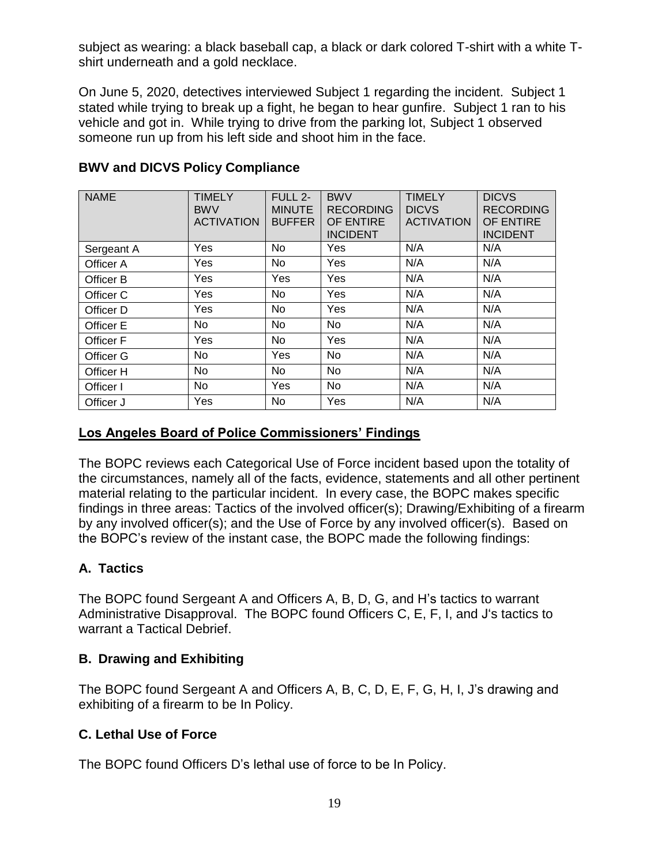subject as wearing: a black baseball cap, a black or dark colored T-shirt with a white Tshirt underneath and a gold necklace.

On June 5, 2020, detectives interviewed Subject 1 regarding the incident. Subject 1 stated while trying to break up a fight, he began to hear gunfire. Subject 1 ran to his vehicle and got in. While trying to drive from the parking lot, Subject 1 observed someone run up from his left side and shoot him in the face.

| <b>NAME</b> | <b>TIMELY</b><br><b>BWV</b><br><b>ACTIVATION</b> | FULL 2-<br><b>MINUTE</b><br><b>BUFFER</b> | <b>BWV</b><br><b>RECORDING</b><br>OF ENTIRE<br><b>INCIDENT</b> | <b>TIMELY</b><br><b>DICVS</b><br><b>ACTIVATION</b> | <b>DICVS</b><br><b>RECORDING</b><br>OF ENTIRE<br><b>INCIDENT</b> |
|-------------|--------------------------------------------------|-------------------------------------------|----------------------------------------------------------------|----------------------------------------------------|------------------------------------------------------------------|
| Sergeant A  | Yes                                              | <b>No</b>                                 | Yes                                                            | N/A                                                | N/A                                                              |
| Officer A   | Yes                                              | <b>No</b>                                 | Yes                                                            | N/A                                                | N/A                                                              |
| Officer B   | Yes                                              | Yes                                       | Yes                                                            | N/A                                                | N/A                                                              |
| Officer C   | Yes                                              | No                                        | Yes                                                            | N/A                                                | N/A                                                              |
| Officer D   | Yes                                              | <b>No</b>                                 | Yes                                                            | N/A                                                | N/A                                                              |
| Officer E   | No                                               | No                                        | No                                                             | N/A                                                | N/A                                                              |
| Officer F   | Yes                                              | <b>No</b>                                 | Yes                                                            | N/A                                                | N/A                                                              |
| Officer G   | No                                               | Yes                                       | No                                                             | N/A                                                | N/A                                                              |
| Officer H   | No                                               | No                                        | No.                                                            | N/A                                                | N/A                                                              |
| Officer I   | No                                               | Yes                                       | No                                                             | N/A                                                | N/A                                                              |
| Officer J   | Yes                                              | No                                        | Yes                                                            | N/A                                                | N/A                                                              |

# **BWV and DICVS Policy Compliance**

# **Los Angeles Board of Police Commissioners' Findings**

The BOPC reviews each Categorical Use of Force incident based upon the totality of the circumstances, namely all of the facts, evidence, statements and all other pertinent material relating to the particular incident. In every case, the BOPC makes specific findings in three areas: Tactics of the involved officer(s); Drawing/Exhibiting of a firearm by any involved officer(s); and the Use of Force by any involved officer(s). Based on the BOPC's review of the instant case, the BOPC made the following findings:

# **A. Tactics**

The BOPC found Sergeant A and Officers A, B, D, G, and H's tactics to warrant Administrative Disapproval. The BOPC found Officers C, E, F, I, and J's tactics to warrant a Tactical Debrief.

# **B. Drawing and Exhibiting**

The BOPC found Sergeant A and Officers A, B, C, D, E, F, G, H, I, J's drawing and exhibiting of a firearm to be In Policy.

# **C. Lethal Use of Force**

The BOPC found Officers D's lethal use of force to be In Policy.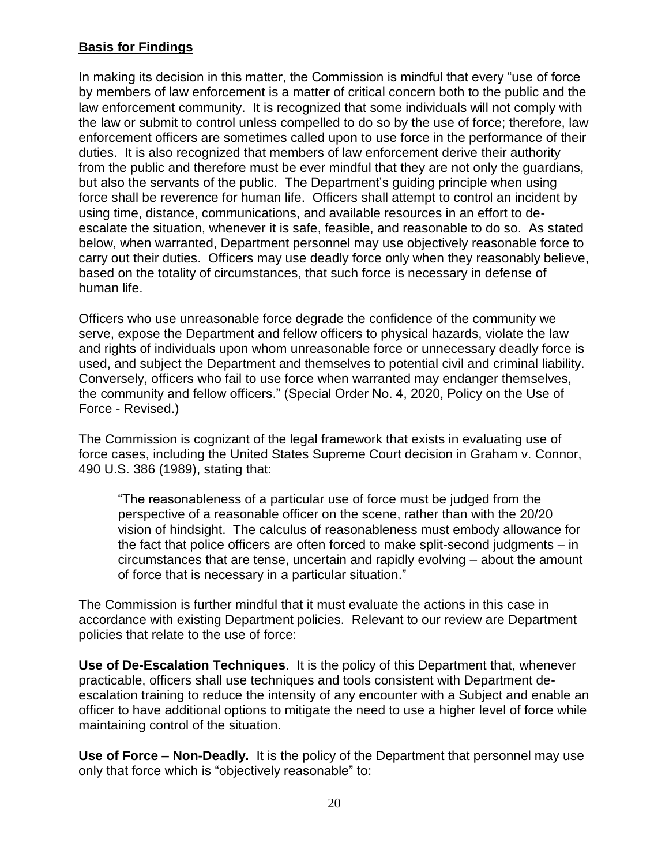# **Basis for Findings**

In making its decision in this matter, the Commission is mindful that every "use of force by members of law enforcement is a matter of critical concern both to the public and the law enforcement community. It is recognized that some individuals will not comply with the law or submit to control unless compelled to do so by the use of force; therefore, law enforcement officers are sometimes called upon to use force in the performance of their duties. It is also recognized that members of law enforcement derive their authority from the public and therefore must be ever mindful that they are not only the guardians, but also the servants of the public. The Department's guiding principle when using force shall be reverence for human life. Officers shall attempt to control an incident by using time, distance, communications, and available resources in an effort to deescalate the situation, whenever it is safe, feasible, and reasonable to do so. As stated below, when warranted, Department personnel may use objectively reasonable force to carry out their duties. Officers may use deadly force only when they reasonably believe, based on the totality of circumstances, that such force is necessary in defense of human life.

Officers who use unreasonable force degrade the confidence of the community we serve, expose the Department and fellow officers to physical hazards, violate the law and rights of individuals upon whom unreasonable force or unnecessary deadly force is used, and subject the Department and themselves to potential civil and criminal liability. Conversely, officers who fail to use force when warranted may endanger themselves, the community and fellow officers." (Special Order No. 4, 2020, Policy on the Use of Force - Revised.)

The Commission is cognizant of the legal framework that exists in evaluating use of force cases, including the United States Supreme Court decision in Graham v. Connor, 490 U.S. 386 (1989), stating that:

"The reasonableness of a particular use of force must be judged from the perspective of a reasonable officer on the scene, rather than with the 20/20 vision of hindsight. The calculus of reasonableness must embody allowance for the fact that police officers are often forced to make split-second judgments – in circumstances that are tense, uncertain and rapidly evolving – about the amount of force that is necessary in a particular situation."

The Commission is further mindful that it must evaluate the actions in this case in accordance with existing Department policies. Relevant to our review are Department policies that relate to the use of force:

**Use of De-Escalation Techniques**. It is the policy of this Department that, whenever practicable, officers shall use techniques and tools consistent with Department deescalation training to reduce the intensity of any encounter with a Subject and enable an officer to have additional options to mitigate the need to use a higher level of force while maintaining control of the situation.

**Use of Force – Non-Deadly.** It is the policy of the Department that personnel may use only that force which is "objectively reasonable" to: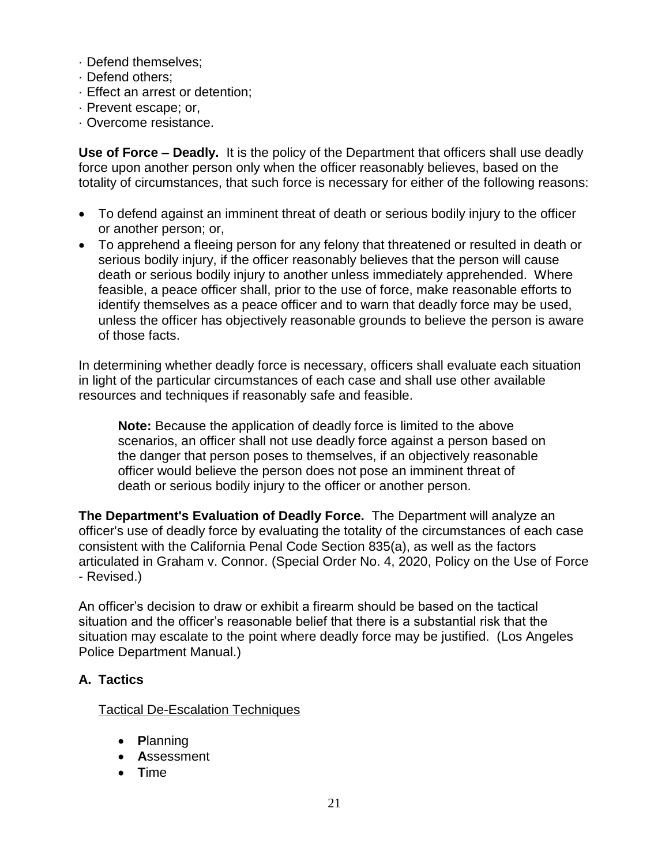- · Defend themselves;
- · Defend others;
- · Effect an arrest or detention;
- · Prevent escape; or,
- · Overcome resistance.

**Use of Force – Deadly.** It is the policy of the Department that officers shall use deadly force upon another person only when the officer reasonably believes, based on the totality of circumstances, that such force is necessary for either of the following reasons:

- To defend against an imminent threat of death or serious bodily injury to the officer or another person; or,
- To apprehend a fleeing person for any felony that threatened or resulted in death or serious bodily injury, if the officer reasonably believes that the person will cause death or serious bodily injury to another unless immediately apprehended. Where feasible, a peace officer shall, prior to the use of force, make reasonable efforts to identify themselves as a peace officer and to warn that deadly force may be used, unless the officer has objectively reasonable grounds to believe the person is aware of those facts.

In determining whether deadly force is necessary, officers shall evaluate each situation in light of the particular circumstances of each case and shall use other available resources and techniques if reasonably safe and feasible.

**Note:** Because the application of deadly force is limited to the above scenarios, an officer shall not use deadly force against a person based on the danger that person poses to themselves, if an objectively reasonable officer would believe the person does not pose an imminent threat of death or serious bodily injury to the officer or another person.

**The Department's Evaluation of Deadly Force.** The Department will analyze an officer's use of deadly force by evaluating the totality of the circumstances of each case consistent with the California Penal Code Section 835(a), as well as the factors articulated in Graham v. Connor. (Special Order No. 4, 2020, Policy on the Use of Force - Revised.)

An officer's decision to draw or exhibit a firearm should be based on the tactical situation and the officer's reasonable belief that there is a substantial risk that the situation may escalate to the point where deadly force may be justified. (Los Angeles Police Department Manual.)

## **A. Tactics**

Tactical De-Escalation Techniques

- **P**lanning
- **A**ssessment
- **T**ime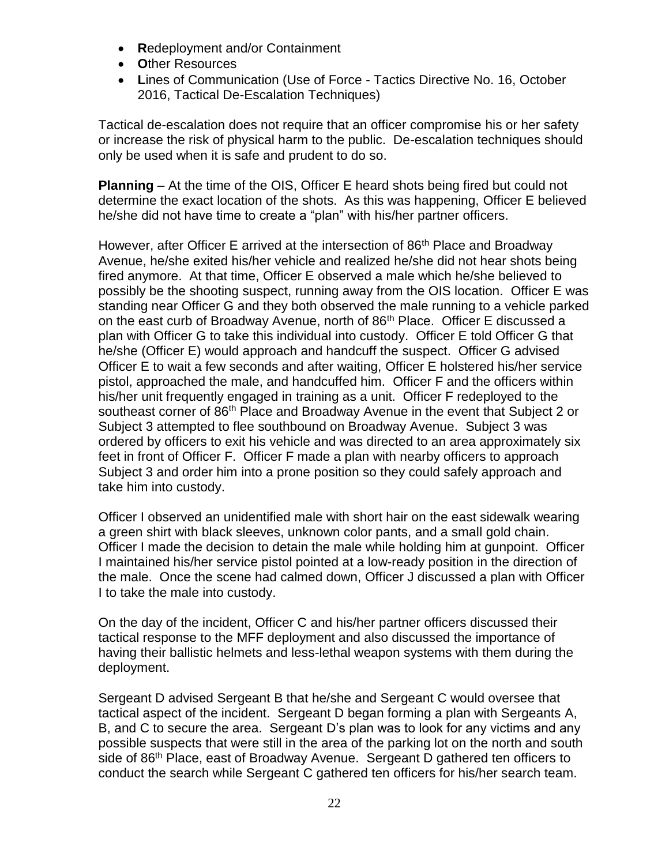- **R**edeployment and/or Containment
- **O**ther Resources
- **L**ines of Communication (Use of Force Tactics Directive No. 16, October 2016, Tactical De-Escalation Techniques)

Tactical de-escalation does not require that an officer compromise his or her safety or increase the risk of physical harm to the public. De-escalation techniques should only be used when it is safe and prudent to do so.

**Planning** – At the time of the OIS, Officer E heard shots being fired but could not determine the exact location of the shots. As this was happening, Officer E believed he/she did not have time to create a "plan" with his/her partner officers.

However, after Officer E arrived at the intersection of 86<sup>th</sup> Place and Broadway Avenue, he/she exited his/her vehicle and realized he/she did not hear shots being fired anymore. At that time, Officer E observed a male which he/she believed to possibly be the shooting suspect, running away from the OIS location. Officer E was standing near Officer G and they both observed the male running to a vehicle parked on the east curb of Broadway Avenue, north of 86<sup>th</sup> Place. Officer E discussed a plan with Officer G to take this individual into custody. Officer E told Officer G that he/she (Officer E) would approach and handcuff the suspect. Officer G advised Officer E to wait a few seconds and after waiting, Officer E holstered his/her service pistol, approached the male, and handcuffed him. Officer F and the officers within his/her unit frequently engaged in training as a unit. Officer F redeployed to the southeast corner of 86<sup>th</sup> Place and Broadway Avenue in the event that Subject 2 or Subject 3 attempted to flee southbound on Broadway Avenue. Subject 3 was ordered by officers to exit his vehicle and was directed to an area approximately six feet in front of Officer F. Officer F made a plan with nearby officers to approach Subject 3 and order him into a prone position so they could safely approach and take him into custody.

Officer I observed an unidentified male with short hair on the east sidewalk wearing a green shirt with black sleeves, unknown color pants, and a small gold chain. Officer I made the decision to detain the male while holding him at gunpoint. Officer I maintained his/her service pistol pointed at a low-ready position in the direction of the male. Once the scene had calmed down, Officer J discussed a plan with Officer I to take the male into custody.

On the day of the incident, Officer C and his/her partner officers discussed their tactical response to the MFF deployment and also discussed the importance of having their ballistic helmets and less-lethal weapon systems with them during the deployment.

Sergeant D advised Sergeant B that he/she and Sergeant C would oversee that tactical aspect of the incident. Sergeant D began forming a plan with Sergeants A, B, and C to secure the area. Sergeant D's plan was to look for any victims and any possible suspects that were still in the area of the parking lot on the north and south side of 86<sup>th</sup> Place, east of Broadway Avenue. Sergeant D gathered ten officers to conduct the search while Sergeant C gathered ten officers for his/her search team.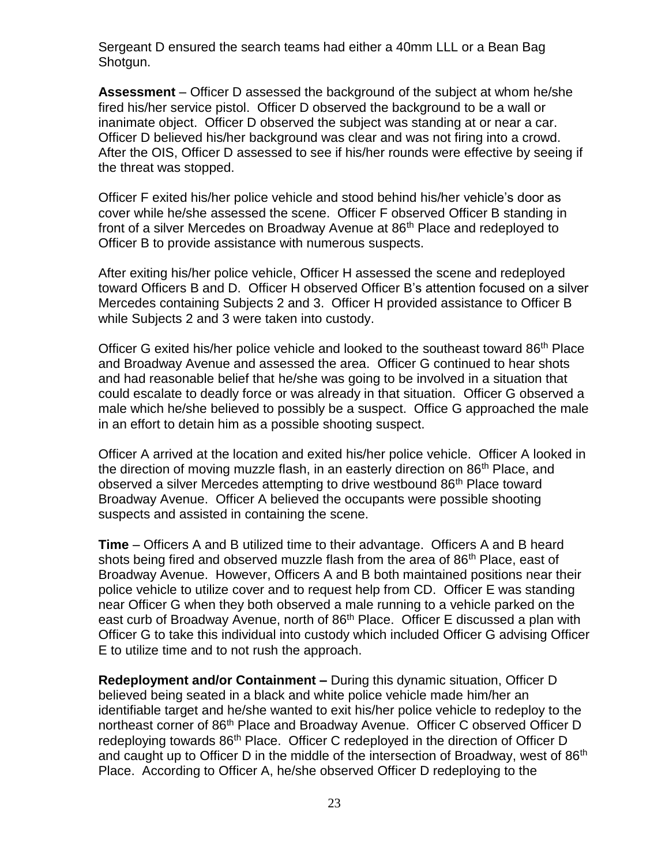Sergeant D ensured the search teams had either a 40mm LLL or a Bean Bag Shotgun.

**Assessment** – Officer D assessed the background of the subject at whom he/she fired his/her service pistol. Officer D observed the background to be a wall or inanimate object. Officer D observed the subject was standing at or near a car. Officer D believed his/her background was clear and was not firing into a crowd. After the OIS, Officer D assessed to see if his/her rounds were effective by seeing if the threat was stopped.

Officer F exited his/her police vehicle and stood behind his/her vehicle's door as cover while he/she assessed the scene. Officer F observed Officer B standing in front of a silver Mercedes on Broadway Avenue at 86<sup>th</sup> Place and redeployed to Officer B to provide assistance with numerous suspects.

After exiting his/her police vehicle, Officer H assessed the scene and redeployed toward Officers B and D. Officer H observed Officer B's attention focused on a silver Mercedes containing Subjects 2 and 3. Officer H provided assistance to Officer B while Subjects 2 and 3 were taken into custody.

Officer G exited his/her police vehicle and looked to the southeast toward 86<sup>th</sup> Place and Broadway Avenue and assessed the area. Officer G continued to hear shots and had reasonable belief that he/she was going to be involved in a situation that could escalate to deadly force or was already in that situation. Officer G observed a male which he/she believed to possibly be a suspect. Office G approached the male in an effort to detain him as a possible shooting suspect.

Officer A arrived at the location and exited his/her police vehicle. Officer A looked in the direction of moving muzzle flash, in an easterly direction on 86<sup>th</sup> Place, and observed a silver Mercedes attempting to drive westbound 86<sup>th</sup> Place toward Broadway Avenue. Officer A believed the occupants were possible shooting suspects and assisted in containing the scene.

**Time** – Officers A and B utilized time to their advantage. Officers A and B heard shots being fired and observed muzzle flash from the area of 86<sup>th</sup> Place, east of Broadway Avenue. However, Officers A and B both maintained positions near their police vehicle to utilize cover and to request help from CD. Officer E was standing near Officer G when they both observed a male running to a vehicle parked on the east curb of Broadway Avenue, north of 86<sup>th</sup> Place. Officer E discussed a plan with Officer G to take this individual into custody which included Officer G advising Officer E to utilize time and to not rush the approach.

**Redeployment and/or Containment –** During this dynamic situation, Officer D believed being seated in a black and white police vehicle made him/her an identifiable target and he/she wanted to exit his/her police vehicle to redeploy to the northeast corner of 86<sup>th</sup> Place and Broadway Avenue. Officer C observed Officer D redeploying towards 86<sup>th</sup> Place. Officer C redeployed in the direction of Officer D and caught up to Officer D in the middle of the intersection of Broadway, west of  $86<sup>th</sup>$ Place. According to Officer A, he/she observed Officer D redeploying to the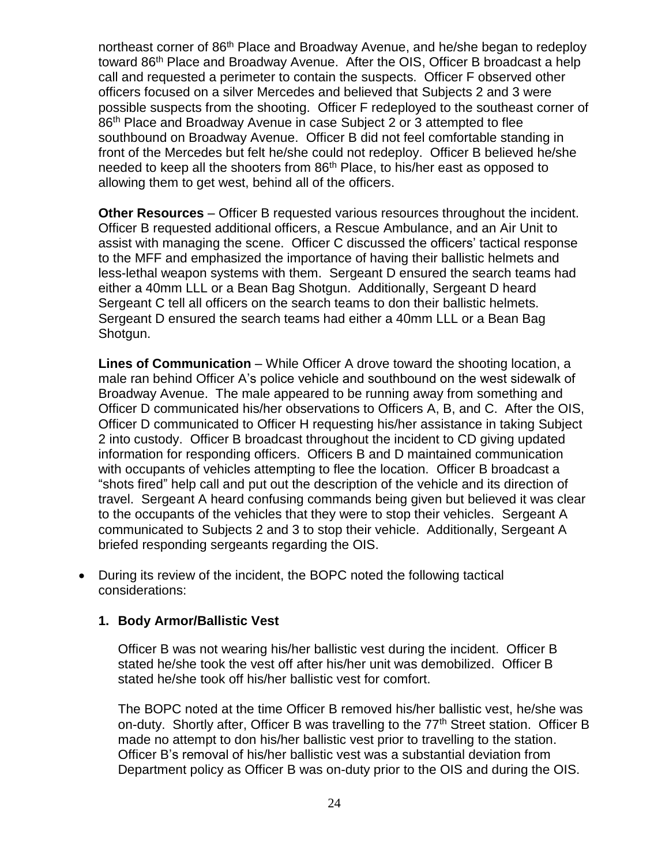northeast corner of 86<sup>th</sup> Place and Broadway Avenue, and he/she began to redeploy toward 86<sup>th</sup> Place and Broadway Avenue. After the OIS, Officer B broadcast a help call and requested a perimeter to contain the suspects. Officer F observed other officers focused on a silver Mercedes and believed that Subjects 2 and 3 were possible suspects from the shooting. Officer F redeployed to the southeast corner of 86<sup>th</sup> Place and Broadway Avenue in case Subject 2 or 3 attempted to flee southbound on Broadway Avenue. Officer B did not feel comfortable standing in front of the Mercedes but felt he/she could not redeploy. Officer B believed he/she needed to keep all the shooters from 86<sup>th</sup> Place, to his/her east as opposed to allowing them to get west, behind all of the officers.

**Other Resources** – Officer B requested various resources throughout the incident. Officer B requested additional officers, a Rescue Ambulance, and an Air Unit to assist with managing the scene. Officer C discussed the officers' tactical response to the MFF and emphasized the importance of having their ballistic helmets and less-lethal weapon systems with them. Sergeant D ensured the search teams had either a 40mm LLL or a Bean Bag Shotgun. Additionally, Sergeant D heard Sergeant C tell all officers on the search teams to don their ballistic helmets. Sergeant D ensured the search teams had either a 40mm LLL or a Bean Bag Shotgun.

**Lines of Communication** – While Officer A drove toward the shooting location, a male ran behind Officer A's police vehicle and southbound on the west sidewalk of Broadway Avenue. The male appeared to be running away from something and Officer D communicated his/her observations to Officers A, B, and C. After the OIS, Officer D communicated to Officer H requesting his/her assistance in taking Subject 2 into custody. Officer B broadcast throughout the incident to CD giving updated information for responding officers. Officers B and D maintained communication with occupants of vehicles attempting to flee the location. Officer B broadcast a "shots fired" help call and put out the description of the vehicle and its direction of travel. Sergeant A heard confusing commands being given but believed it was clear to the occupants of the vehicles that they were to stop their vehicles. Sergeant A communicated to Subjects 2 and 3 to stop their vehicle. Additionally, Sergeant A briefed responding sergeants regarding the OIS.

• During its review of the incident, the BOPC noted the following tactical considerations:

## **1. Body Armor/Ballistic Vest**

Officer B was not wearing his/her ballistic vest during the incident. Officer B stated he/she took the vest off after his/her unit was demobilized. Officer B stated he/she took off his/her ballistic vest for comfort.

The BOPC noted at the time Officer B removed his/her ballistic vest, he/she was on-duty. Shortly after, Officer B was travelling to the  $77<sup>th</sup>$  Street station. Officer B made no attempt to don his/her ballistic vest prior to travelling to the station. Officer B's removal of his/her ballistic vest was a substantial deviation from Department policy as Officer B was on-duty prior to the OIS and during the OIS.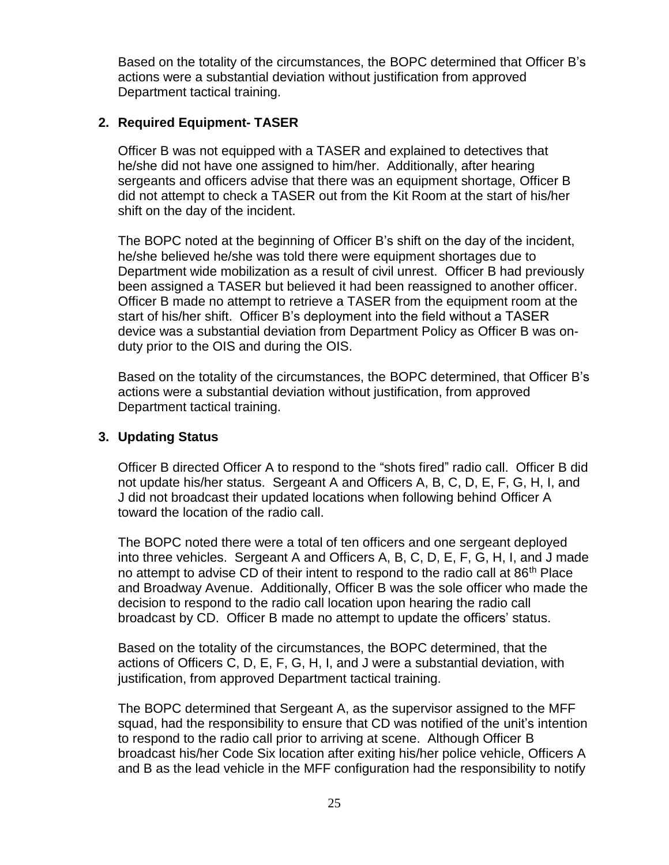Based on the totality of the circumstances, the BOPC determined that Officer B's actions were a substantial deviation without justification from approved Department tactical training.

## **2. Required Equipment- TASER**

Officer B was not equipped with a TASER and explained to detectives that he/she did not have one assigned to him/her. Additionally, after hearing sergeants and officers advise that there was an equipment shortage, Officer B did not attempt to check a TASER out from the Kit Room at the start of his/her shift on the day of the incident.

The BOPC noted at the beginning of Officer B's shift on the day of the incident, he/she believed he/she was told there were equipment shortages due to Department wide mobilization as a result of civil unrest. Officer B had previously been assigned a TASER but believed it had been reassigned to another officer. Officer B made no attempt to retrieve a TASER from the equipment room at the start of his/her shift. Officer B's deployment into the field without a TASER device was a substantial deviation from Department Policy as Officer B was onduty prior to the OIS and during the OIS.

Based on the totality of the circumstances, the BOPC determined, that Officer B's actions were a substantial deviation without justification, from approved Department tactical training.

## **3. Updating Status**

Officer B directed Officer A to respond to the "shots fired" radio call. Officer B did not update his/her status. Sergeant A and Officers A, B, C, D, E, F, G, H, I, and J did not broadcast their updated locations when following behind Officer A toward the location of the radio call.

The BOPC noted there were a total of ten officers and one sergeant deployed into three vehicles. Sergeant A and Officers A, B, C, D, E, F, G, H, I, and J made no attempt to advise CD of their intent to respond to the radio call at 86<sup>th</sup> Place and Broadway Avenue. Additionally, Officer B was the sole officer who made the decision to respond to the radio call location upon hearing the radio call broadcast by CD. Officer B made no attempt to update the officers' status.

Based on the totality of the circumstances, the BOPC determined, that the actions of Officers C, D, E, F, G, H, I, and J were a substantial deviation, with justification, from approved Department tactical training.

The BOPC determined that Sergeant A, as the supervisor assigned to the MFF squad, had the responsibility to ensure that CD was notified of the unit's intention to respond to the radio call prior to arriving at scene. Although Officer B broadcast his/her Code Six location after exiting his/her police vehicle, Officers A and B as the lead vehicle in the MFF configuration had the responsibility to notify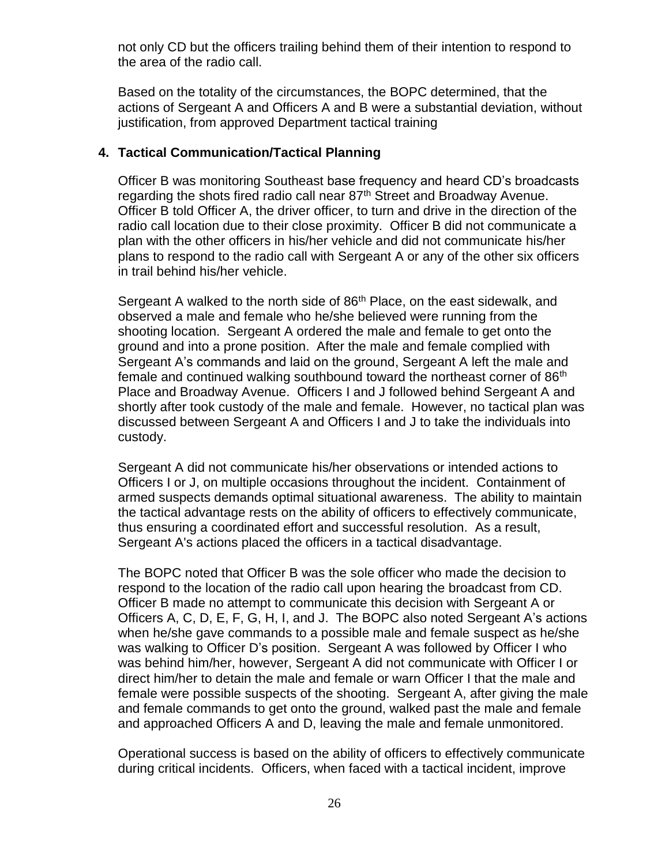not only CD but the officers trailing behind them of their intention to respond to the area of the radio call.

Based on the totality of the circumstances, the BOPC determined, that the actions of Sergeant A and Officers A and B were a substantial deviation, without justification, from approved Department tactical training

### **4. Tactical Communication/Tactical Planning**

Officer B was monitoring Southeast base frequency and heard CD's broadcasts regarding the shots fired radio call near 87<sup>th</sup> Street and Broadway Avenue. Officer B told Officer A, the driver officer, to turn and drive in the direction of the radio call location due to their close proximity. Officer B did not communicate a plan with the other officers in his/her vehicle and did not communicate his/her plans to respond to the radio call with Sergeant A or any of the other six officers in trail behind his/her vehicle.

Sergeant A walked to the north side of 86<sup>th</sup> Place, on the east sidewalk, and observed a male and female who he/she believed were running from the shooting location. Sergeant A ordered the male and female to get onto the ground and into a prone position. After the male and female complied with Sergeant A's commands and laid on the ground, Sergeant A left the male and female and continued walking southbound toward the northeast corner of 86<sup>th</sup> Place and Broadway Avenue. Officers I and J followed behind Sergeant A and shortly after took custody of the male and female. However, no tactical plan was discussed between Sergeant A and Officers I and J to take the individuals into custody.

Sergeant A did not communicate his/her observations or intended actions to Officers I or J, on multiple occasions throughout the incident. Containment of armed suspects demands optimal situational awareness. The ability to maintain the tactical advantage rests on the ability of officers to effectively communicate, thus ensuring a coordinated effort and successful resolution. As a result, Sergeant A's actions placed the officers in a tactical disadvantage.

The BOPC noted that Officer B was the sole officer who made the decision to respond to the location of the radio call upon hearing the broadcast from CD. Officer B made no attempt to communicate this decision with Sergeant A or Officers A, C, D, E, F, G, H, I, and J. The BOPC also noted Sergeant A's actions when he/she gave commands to a possible male and female suspect as he/she was walking to Officer D's position. Sergeant A was followed by Officer I who was behind him/her, however, Sergeant A did not communicate with Officer I or direct him/her to detain the male and female or warn Officer I that the male and female were possible suspects of the shooting. Sergeant A, after giving the male and female commands to get onto the ground, walked past the male and female and approached Officers A and D, leaving the male and female unmonitored.

Operational success is based on the ability of officers to effectively communicate during critical incidents. Officers, when faced with a tactical incident, improve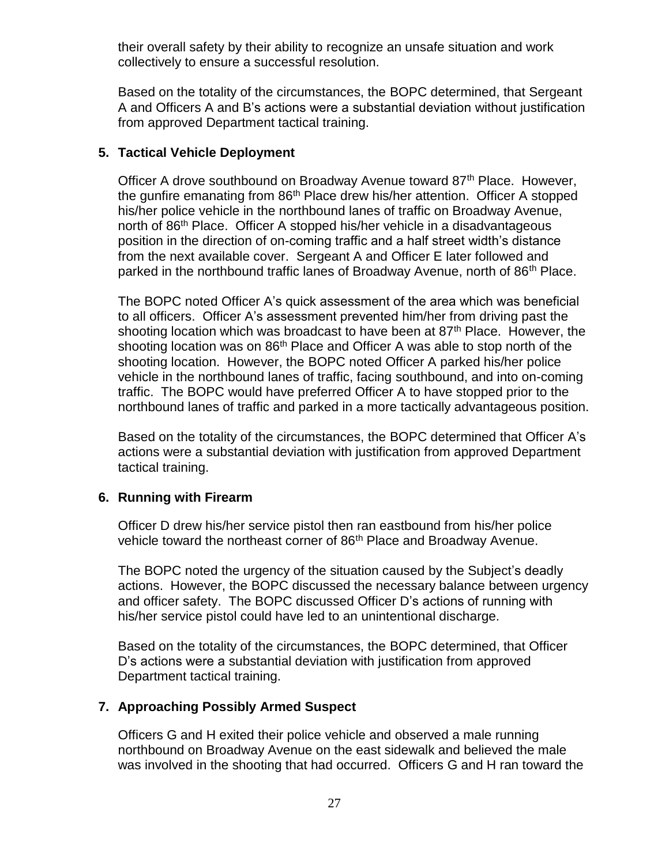their overall safety by their ability to recognize an unsafe situation and work collectively to ensure a successful resolution.

Based on the totality of the circumstances, the BOPC determined, that Sergeant A and Officers A and B's actions were a substantial deviation without justification from approved Department tactical training.

## **5. Tactical Vehicle Deployment**

Officer A drove southbound on Broadway Avenue toward 87<sup>th</sup> Place. However, the gunfire emanating from 86<sup>th</sup> Place drew his/her attention. Officer A stopped his/her police vehicle in the northbound lanes of traffic on Broadway Avenue, north of 86<sup>th</sup> Place. Officer A stopped his/her vehicle in a disadvantageous position in the direction of on-coming traffic and a half street width's distance from the next available cover. Sergeant A and Officer E later followed and parked in the northbound traffic lanes of Broadway Avenue, north of  $86<sup>th</sup>$  Place.

The BOPC noted Officer A's quick assessment of the area which was beneficial to all officers. Officer A's assessment prevented him/her from driving past the shooting location which was broadcast to have been at 87<sup>th</sup> Place. However, the shooting location was on 86<sup>th</sup> Place and Officer A was able to stop north of the shooting location. However, the BOPC noted Officer A parked his/her police vehicle in the northbound lanes of traffic, facing southbound, and into on-coming traffic. The BOPC would have preferred Officer A to have stopped prior to the northbound lanes of traffic and parked in a more tactically advantageous position.

Based on the totality of the circumstances, the BOPC determined that Officer A's actions were a substantial deviation with justification from approved Department tactical training.

## **6. Running with Firearm**

Officer D drew his/her service pistol then ran eastbound from his/her police vehicle toward the northeast corner of 86<sup>th</sup> Place and Broadway Avenue.

The BOPC noted the urgency of the situation caused by the Subject's deadly actions. However, the BOPC discussed the necessary balance between urgency and officer safety. The BOPC discussed Officer D's actions of running with his/her service pistol could have led to an unintentional discharge.

Based on the totality of the circumstances, the BOPC determined, that Officer D's actions were a substantial deviation with justification from approved Department tactical training.

# **7. Approaching Possibly Armed Suspect**

Officers G and H exited their police vehicle and observed a male running northbound on Broadway Avenue on the east sidewalk and believed the male was involved in the shooting that had occurred. Officers G and H ran toward the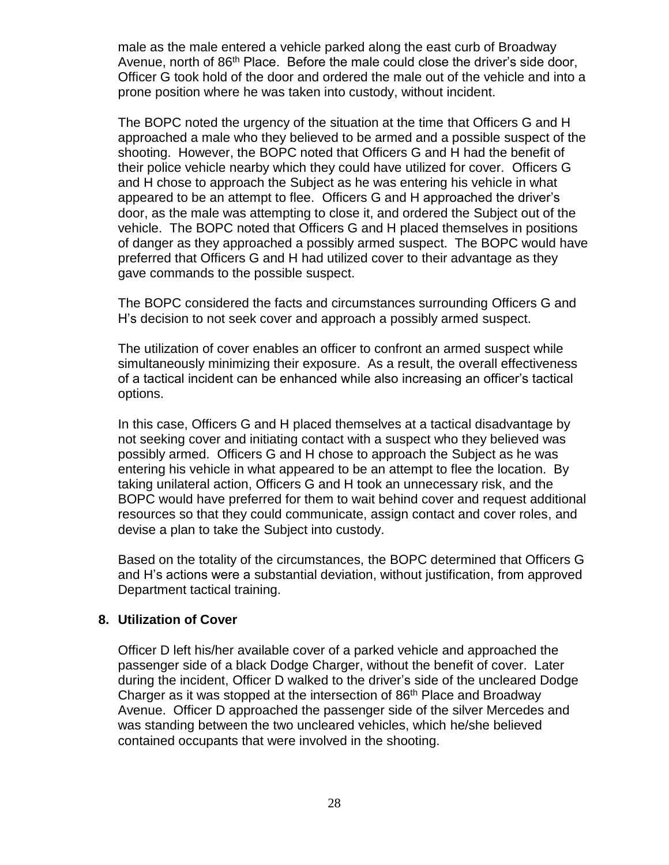male as the male entered a vehicle parked along the east curb of Broadway Avenue, north of 86<sup>th</sup> Place. Before the male could close the driver's side door, Officer G took hold of the door and ordered the male out of the vehicle and into a prone position where he was taken into custody, without incident.

The BOPC noted the urgency of the situation at the time that Officers G and H approached a male who they believed to be armed and a possible suspect of the shooting. However, the BOPC noted that Officers G and H had the benefit of their police vehicle nearby which they could have utilized for cover. Officers G and H chose to approach the Subject as he was entering his vehicle in what appeared to be an attempt to flee. Officers G and H approached the driver's door, as the male was attempting to close it, and ordered the Subject out of the vehicle. The BOPC noted that Officers G and H placed themselves in positions of danger as they approached a possibly armed suspect. The BOPC would have preferred that Officers G and H had utilized cover to their advantage as they gave commands to the possible suspect.

The BOPC considered the facts and circumstances surrounding Officers G and H's decision to not seek cover and approach a possibly armed suspect.

The utilization of cover enables an officer to confront an armed suspect while simultaneously minimizing their exposure. As a result, the overall effectiveness of a tactical incident can be enhanced while also increasing an officer's tactical options.

In this case, Officers G and H placed themselves at a tactical disadvantage by not seeking cover and initiating contact with a suspect who they believed was possibly armed. Officers G and H chose to approach the Subject as he was entering his vehicle in what appeared to be an attempt to flee the location. By taking unilateral action, Officers G and H took an unnecessary risk, and the BOPC would have preferred for them to wait behind cover and request additional resources so that they could communicate, assign contact and cover roles, and devise a plan to take the Subject into custody.

Based on the totality of the circumstances, the BOPC determined that Officers G and H's actions were a substantial deviation, without justification, from approved Department tactical training.

#### **8. Utilization of Cover**

Officer D left his/her available cover of a parked vehicle and approached the passenger side of a black Dodge Charger, without the benefit of cover. Later during the incident, Officer D walked to the driver's side of the uncleared Dodge Charger as it was stopped at the intersection of 86<sup>th</sup> Place and Broadway Avenue. Officer D approached the passenger side of the silver Mercedes and was standing between the two uncleared vehicles, which he/she believed contained occupants that were involved in the shooting.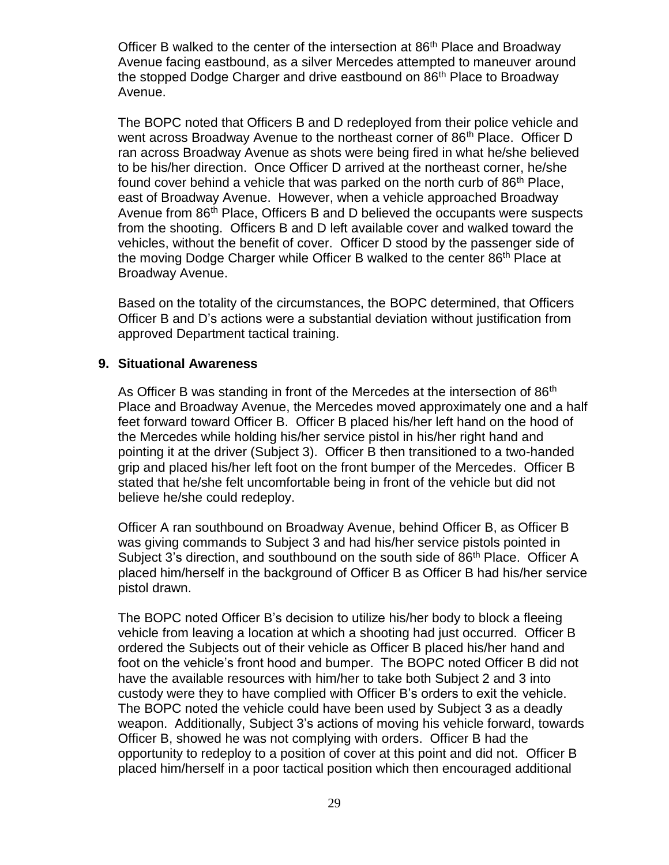Officer B walked to the center of the intersection at 86<sup>th</sup> Place and Broadway Avenue facing eastbound, as a silver Mercedes attempted to maneuver around the stopped Dodge Charger and drive eastbound on 86<sup>th</sup> Place to Broadway Avenue.

The BOPC noted that Officers B and D redeployed from their police vehicle and went across Broadway Avenue to the northeast corner of 86<sup>th</sup> Place. Officer D ran across Broadway Avenue as shots were being fired in what he/she believed to be his/her direction. Once Officer D arrived at the northeast corner, he/she found cover behind a vehicle that was parked on the north curb of 86th Place, east of Broadway Avenue. However, when a vehicle approached Broadway Avenue from 86<sup>th</sup> Place, Officers B and D believed the occupants were suspects from the shooting. Officers B and D left available cover and walked toward the vehicles, without the benefit of cover. Officer D stood by the passenger side of the moving Dodge Charger while Officer B walked to the center 86<sup>th</sup> Place at Broadway Avenue.

Based on the totality of the circumstances, the BOPC determined, that Officers Officer B and D's actions were a substantial deviation without justification from approved Department tactical training.

#### **9. Situational Awareness**

As Officer B was standing in front of the Mercedes at the intersection of 86<sup>th</sup> Place and Broadway Avenue, the Mercedes moved approximately one and a half feet forward toward Officer B. Officer B placed his/her left hand on the hood of the Mercedes while holding his/her service pistol in his/her right hand and pointing it at the driver (Subject 3). Officer B then transitioned to a two-handed grip and placed his/her left foot on the front bumper of the Mercedes. Officer B stated that he/she felt uncomfortable being in front of the vehicle but did not believe he/she could redeploy.

Officer A ran southbound on Broadway Avenue, behind Officer B, as Officer B was giving commands to Subject 3 and had his/her service pistols pointed in Subject 3's direction, and southbound on the south side of 86<sup>th</sup> Place. Officer A placed him/herself in the background of Officer B as Officer B had his/her service pistol drawn.

The BOPC noted Officer B's decision to utilize his/her body to block a fleeing vehicle from leaving a location at which a shooting had just occurred. Officer B ordered the Subjects out of their vehicle as Officer B placed his/her hand and foot on the vehicle's front hood and bumper. The BOPC noted Officer B did not have the available resources with him/her to take both Subject 2 and 3 into custody were they to have complied with Officer B's orders to exit the vehicle. The BOPC noted the vehicle could have been used by Subject 3 as a deadly weapon. Additionally, Subject 3's actions of moving his vehicle forward, towards Officer B, showed he was not complying with orders. Officer B had the opportunity to redeploy to a position of cover at this point and did not. Officer B placed him/herself in a poor tactical position which then encouraged additional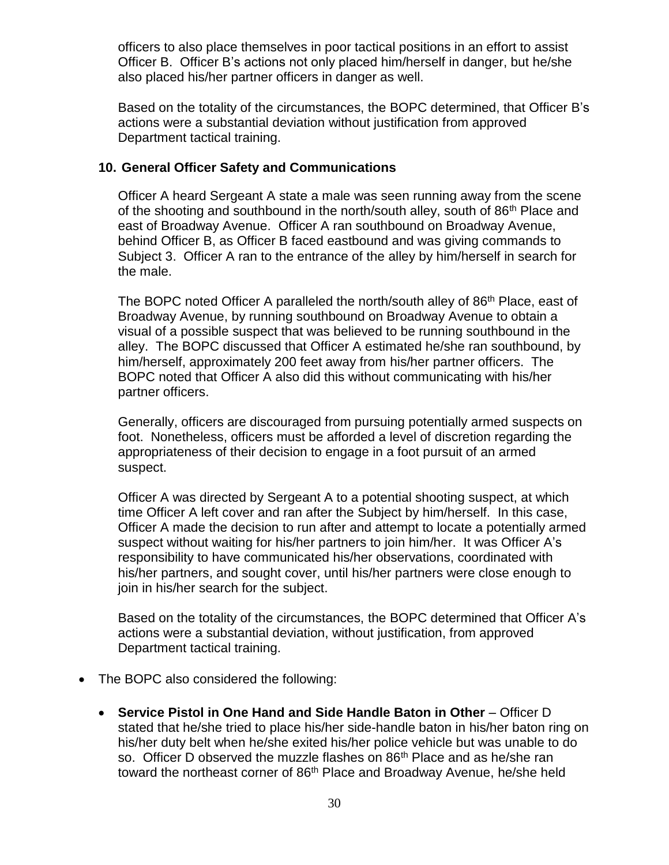officers to also place themselves in poor tactical positions in an effort to assist Officer B. Officer B's actions not only placed him/herself in danger, but he/she also placed his/her partner officers in danger as well.

Based on the totality of the circumstances, the BOPC determined, that Officer B's actions were a substantial deviation without justification from approved Department tactical training.

### **10. General Officer Safety and Communications**

Officer A heard Sergeant A state a male was seen running away from the scene of the shooting and southbound in the north/south alley, south of 86<sup>th</sup> Place and east of Broadway Avenue. Officer A ran southbound on Broadway Avenue, behind Officer B, as Officer B faced eastbound and was giving commands to Subject 3. Officer A ran to the entrance of the alley by him/herself in search for the male.

The BOPC noted Officer A paralleled the north/south alley of 86<sup>th</sup> Place, east of Broadway Avenue, by running southbound on Broadway Avenue to obtain a visual of a possible suspect that was believed to be running southbound in the alley. The BOPC discussed that Officer A estimated he/she ran southbound, by him/herself, approximately 200 feet away from his/her partner officers. The BOPC noted that Officer A also did this without communicating with his/her partner officers.

Generally, officers are discouraged from pursuing potentially armed suspects on foot. Nonetheless, officers must be afforded a level of discretion regarding the appropriateness of their decision to engage in a foot pursuit of an armed suspect.

Officer A was directed by Sergeant A to a potential shooting suspect, at which time Officer A left cover and ran after the Subject by him/herself. In this case, Officer A made the decision to run after and attempt to locate a potentially armed suspect without waiting for his/her partners to join him/her. It was Officer A's responsibility to have communicated his/her observations, coordinated with his/her partners, and sought cover, until his/her partners were close enough to join in his/her search for the subject.

Based on the totality of the circumstances, the BOPC determined that Officer A's actions were a substantial deviation, without justification, from approved Department tactical training.

- The BOPC also considered the following:
	- **Service Pistol in One Hand and Side Handle Baton in Other** Officer D stated that he/she tried to place his/her side-handle baton in his/her baton ring on his/her duty belt when he/she exited his/her police vehicle but was unable to do so. Officer D observed the muzzle flashes on 86<sup>th</sup> Place and as he/she ran toward the northeast corner of 86<sup>th</sup> Place and Broadway Avenue, he/she held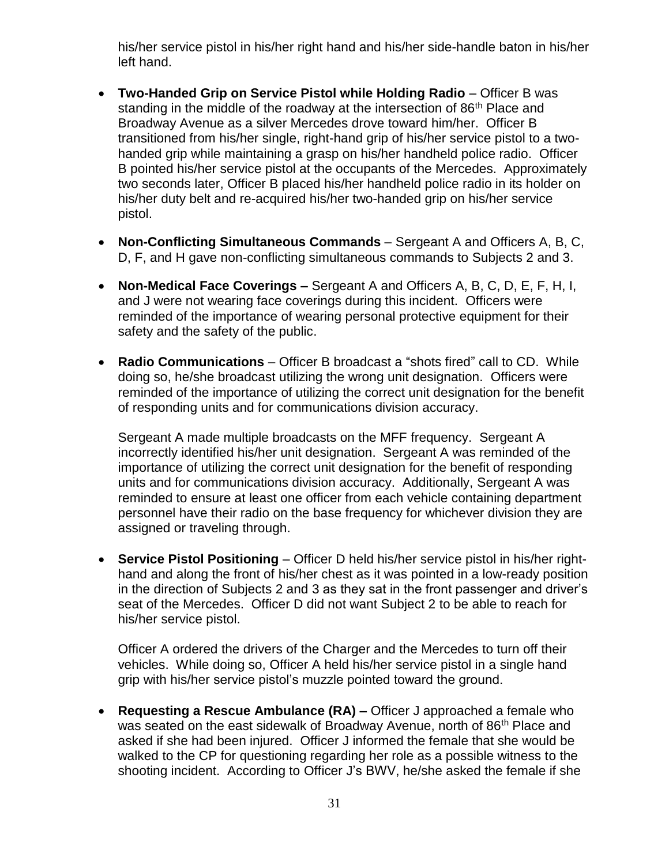his/her service pistol in his/her right hand and his/her side-handle baton in his/her left hand.

- **Two-Handed Grip on Service Pistol while Holding Radio** Officer B was standing in the middle of the roadway at the intersection of 86<sup>th</sup> Place and Broadway Avenue as a silver Mercedes drove toward him/her. Officer B transitioned from his/her single, right-hand grip of his/her service pistol to a twohanded grip while maintaining a grasp on his/her handheld police radio. Officer B pointed his/her service pistol at the occupants of the Mercedes. Approximately two seconds later, Officer B placed his/her handheld police radio in its holder on his/her duty belt and re-acquired his/her two-handed grip on his/her service pistol.
- **Non-Conflicting Simultaneous Commands** Sergeant A and Officers A, B, C, D, F, and H gave non-conflicting simultaneous commands to Subjects 2 and 3.
- **Non-Medical Face Coverings –** Sergeant A and Officers A, B, C, D, E, F, H, I, and J were not wearing face coverings during this incident. Officers were reminded of the importance of wearing personal protective equipment for their safety and the safety of the public.
- **Radio Communications** Officer B broadcast a "shots fired" call to CD. While doing so, he/she broadcast utilizing the wrong unit designation. Officers were reminded of the importance of utilizing the correct unit designation for the benefit of responding units and for communications division accuracy.

Sergeant A made multiple broadcasts on the MFF frequency. Sergeant A incorrectly identified his/her unit designation. Sergeant A was reminded of the importance of utilizing the correct unit designation for the benefit of responding units and for communications division accuracy. Additionally, Sergeant A was reminded to ensure at least one officer from each vehicle containing department personnel have their radio on the base frequency for whichever division they are assigned or traveling through.

• **Service Pistol Positioning** – Officer D held his/her service pistol in his/her righthand and along the front of his/her chest as it was pointed in a low-ready position in the direction of Subjects 2 and 3 as they sat in the front passenger and driver's seat of the Mercedes. Officer D did not want Subject 2 to be able to reach for his/her service pistol.

Officer A ordered the drivers of the Charger and the Mercedes to turn off their vehicles. While doing so, Officer A held his/her service pistol in a single hand grip with his/her service pistol's muzzle pointed toward the ground.

• **Requesting a Rescue Ambulance (RA) –** Officer J approached a female who was seated on the east sidewalk of Broadway Avenue, north of 86<sup>th</sup> Place and asked if she had been injured. Officer J informed the female that she would be walked to the CP for questioning regarding her role as a possible witness to the shooting incident. According to Officer J's BWV, he/she asked the female if she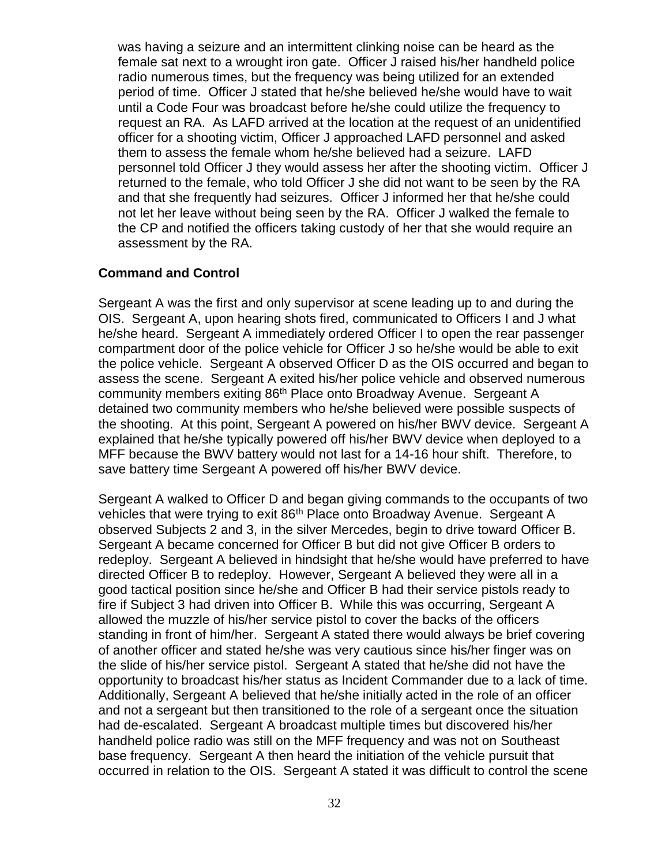was having a seizure and an intermittent clinking noise can be heard as the female sat next to a wrought iron gate. Officer J raised his/her handheld police radio numerous times, but the frequency was being utilized for an extended period of time. Officer J stated that he/she believed he/she would have to wait until a Code Four was broadcast before he/she could utilize the frequency to request an RA. As LAFD arrived at the location at the request of an unidentified officer for a shooting victim, Officer J approached LAFD personnel and asked them to assess the female whom he/she believed had a seizure. LAFD personnel told Officer J they would assess her after the shooting victim. Officer J returned to the female, who told Officer J she did not want to be seen by the RA and that she frequently had seizures. Officer J informed her that he/she could not let her leave without being seen by the RA. Officer J walked the female to the CP and notified the officers taking custody of her that she would require an assessment by the RA.

## **Command and Control**

Sergeant A was the first and only supervisor at scene leading up to and during the OIS. Sergeant A, upon hearing shots fired, communicated to Officers I and J what he/she heard. Sergeant A immediately ordered Officer I to open the rear passenger compartment door of the police vehicle for Officer J so he/she would be able to exit the police vehicle. Sergeant A observed Officer D as the OIS occurred and began to assess the scene. Sergeant A exited his/her police vehicle and observed numerous community members exiting 86<sup>th</sup> Place onto Broadway Avenue. Sergeant A detained two community members who he/she believed were possible suspects of the shooting. At this point, Sergeant A powered on his/her BWV device. Sergeant A explained that he/she typically powered off his/her BWV device when deployed to a MFF because the BWV battery would not last for a 14-16 hour shift. Therefore, to save battery time Sergeant A powered off his/her BWV device.

Sergeant A walked to Officer D and began giving commands to the occupants of two vehicles that were trying to exit 86<sup>th</sup> Place onto Broadway Avenue. Sergeant A observed Subjects 2 and 3, in the silver Mercedes, begin to drive toward Officer B. Sergeant A became concerned for Officer B but did not give Officer B orders to redeploy. Sergeant A believed in hindsight that he/she would have preferred to have directed Officer B to redeploy. However, Sergeant A believed they were all in a good tactical position since he/she and Officer B had their service pistols ready to fire if Subject 3 had driven into Officer B. While this was occurring, Sergeant A allowed the muzzle of his/her service pistol to cover the backs of the officers standing in front of him/her. Sergeant A stated there would always be brief covering of another officer and stated he/she was very cautious since his/her finger was on the slide of his/her service pistol. Sergeant A stated that he/she did not have the opportunity to broadcast his/her status as Incident Commander due to a lack of time. Additionally, Sergeant A believed that he/she initially acted in the role of an officer and not a sergeant but then transitioned to the role of a sergeant once the situation had de-escalated. Sergeant A broadcast multiple times but discovered his/her handheld police radio was still on the MFF frequency and was not on Southeast base frequency. Sergeant A then heard the initiation of the vehicle pursuit that occurred in relation to the OIS. Sergeant A stated it was difficult to control the scene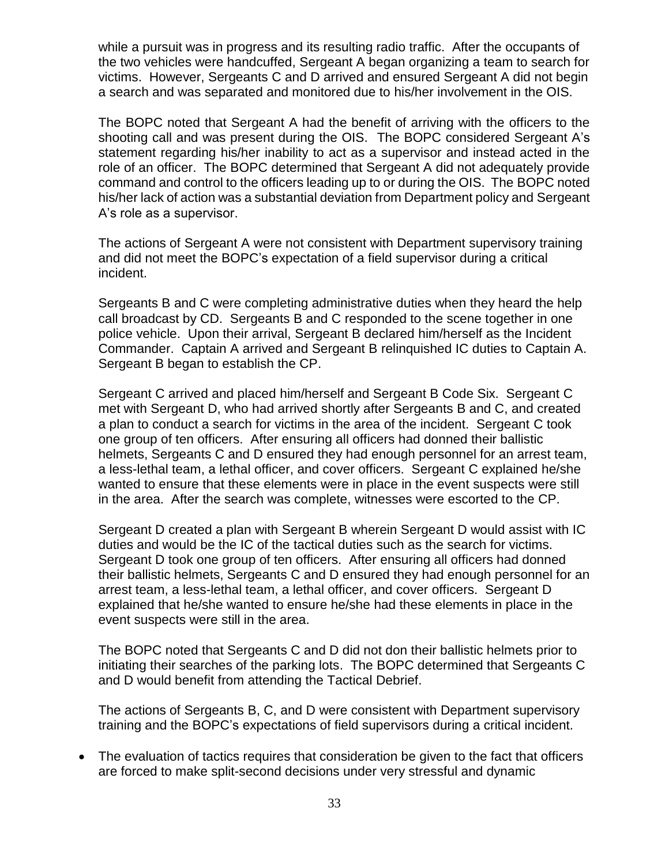while a pursuit was in progress and its resulting radio traffic. After the occupants of the two vehicles were handcuffed, Sergeant A began organizing a team to search for victims. However, Sergeants C and D arrived and ensured Sergeant A did not begin a search and was separated and monitored due to his/her involvement in the OIS.

The BOPC noted that Sergeant A had the benefit of arriving with the officers to the shooting call and was present during the OIS. The BOPC considered Sergeant A's statement regarding his/her inability to act as a supervisor and instead acted in the role of an officer. The BOPC determined that Sergeant A did not adequately provide command and control to the officers leading up to or during the OIS. The BOPC noted his/her lack of action was a substantial deviation from Department policy and Sergeant A's role as a supervisor.

The actions of Sergeant A were not consistent with Department supervisory training and did not meet the BOPC's expectation of a field supervisor during a critical incident.

Sergeants B and C were completing administrative duties when they heard the help call broadcast by CD. Sergeants B and C responded to the scene together in one police vehicle. Upon their arrival, Sergeant B declared him/herself as the Incident Commander. Captain A arrived and Sergeant B relinquished IC duties to Captain A. Sergeant B began to establish the CP.

Sergeant C arrived and placed him/herself and Sergeant B Code Six. Sergeant C met with Sergeant D, who had arrived shortly after Sergeants B and C, and created a plan to conduct a search for victims in the area of the incident. Sergeant C took one group of ten officers. After ensuring all officers had donned their ballistic helmets, Sergeants C and D ensured they had enough personnel for an arrest team, a less-lethal team, a lethal officer, and cover officers. Sergeant C explained he/she wanted to ensure that these elements were in place in the event suspects were still in the area. After the search was complete, witnesses were escorted to the CP.

Sergeant D created a plan with Sergeant B wherein Sergeant D would assist with IC duties and would be the IC of the tactical duties such as the search for victims. Sergeant D took one group of ten officers. After ensuring all officers had donned their ballistic helmets, Sergeants C and D ensured they had enough personnel for an arrest team, a less-lethal team, a lethal officer, and cover officers. Sergeant D explained that he/she wanted to ensure he/she had these elements in place in the event suspects were still in the area.

The BOPC noted that Sergeants C and D did not don their ballistic helmets prior to initiating their searches of the parking lots. The BOPC determined that Sergeants C and D would benefit from attending the Tactical Debrief.

The actions of Sergeants B, C, and D were consistent with Department supervisory training and the BOPC's expectations of field supervisors during a critical incident.

• The evaluation of tactics requires that consideration be given to the fact that officers are forced to make split-second decisions under very stressful and dynamic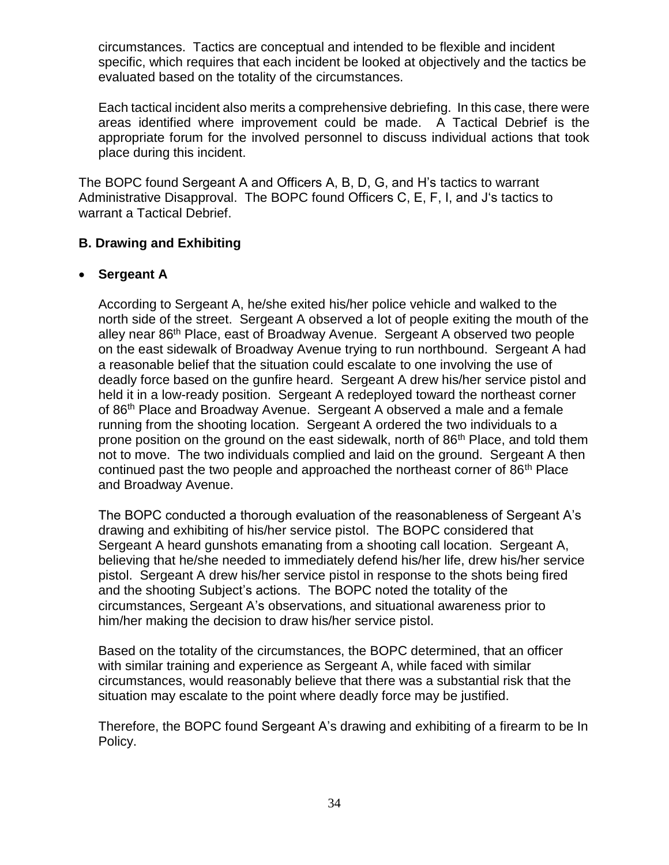circumstances. Tactics are conceptual and intended to be flexible and incident specific, which requires that each incident be looked at objectively and the tactics be evaluated based on the totality of the circumstances.

Each tactical incident also merits a comprehensive debriefing. In this case, there were areas identified where improvement could be made. A Tactical Debrief is the appropriate forum for the involved personnel to discuss individual actions that took place during this incident.

The BOPC found Sergeant A and Officers A, B, D, G, and H's tactics to warrant Administrative Disapproval. The BOPC found Officers C, E, F, I, and J's tactics to warrant a Tactical Debrief.

## **B. Drawing and Exhibiting**

## • **Sergeant A**

According to Sergeant A, he/she exited his/her police vehicle and walked to the north side of the street. Sergeant A observed a lot of people exiting the mouth of the alley near 86<sup>th</sup> Place, east of Broadway Avenue. Sergeant A observed two people on the east sidewalk of Broadway Avenue trying to run northbound. Sergeant A had a reasonable belief that the situation could escalate to one involving the use of deadly force based on the gunfire heard. Sergeant A drew his/her service pistol and held it in a low-ready position. Sergeant A redeployed toward the northeast corner of 86<sup>th</sup> Place and Broadway Avenue. Sergeant A observed a male and a female running from the shooting location. Sergeant A ordered the two individuals to a prone position on the ground on the east sidewalk, north of 86<sup>th</sup> Place, and told them not to move. The two individuals complied and laid on the ground. Sergeant A then continued past the two people and approached the northeast corner of 86<sup>th</sup> Place and Broadway Avenue.

The BOPC conducted a thorough evaluation of the reasonableness of Sergeant A's drawing and exhibiting of his/her service pistol. The BOPC considered that Sergeant A heard gunshots emanating from a shooting call location. Sergeant A, believing that he/she needed to immediately defend his/her life, drew his/her service pistol. Sergeant A drew his/her service pistol in response to the shots being fired and the shooting Subject's actions. The BOPC noted the totality of the circumstances, Sergeant A's observations, and situational awareness prior to him/her making the decision to draw his/her service pistol.

Based on the totality of the circumstances, the BOPC determined, that an officer with similar training and experience as Sergeant A, while faced with similar circumstances, would reasonably believe that there was a substantial risk that the situation may escalate to the point where deadly force may be justified.

Therefore, the BOPC found Sergeant A's drawing and exhibiting of a firearm to be In Policy.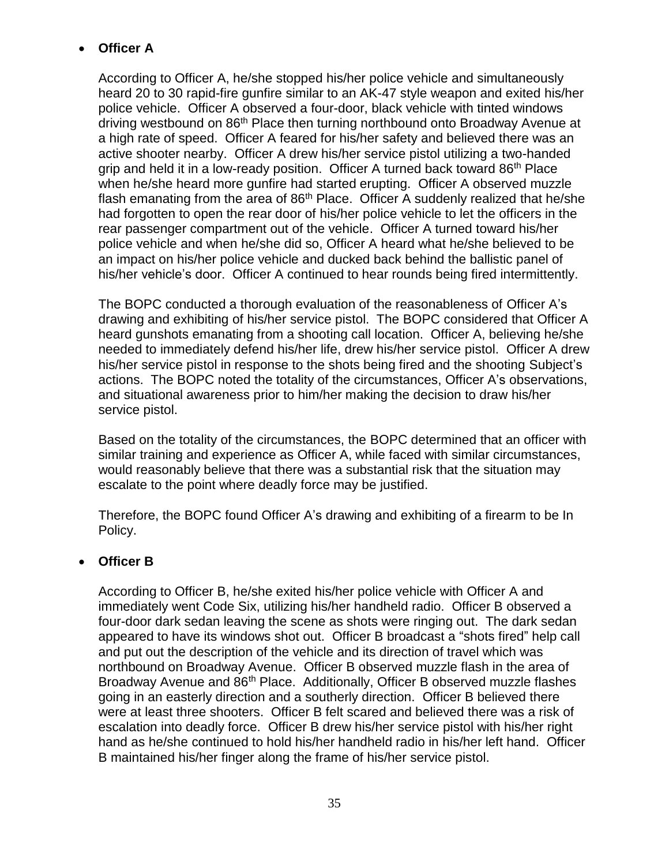# • **Officer A**

According to Officer A, he/she stopped his/her police vehicle and simultaneously heard 20 to 30 rapid-fire gunfire similar to an AK-47 style weapon and exited his/her police vehicle. Officer A observed a four-door, black vehicle with tinted windows driving westbound on 86<sup>th</sup> Place then turning northbound onto Broadway Avenue at a high rate of speed. Officer A feared for his/her safety and believed there was an active shooter nearby. Officer A drew his/her service pistol utilizing a two-handed grip and held it in a low-ready position. Officer A turned back toward 86<sup>th</sup> Place when he/she heard more gunfire had started erupting. Officer A observed muzzle flash emanating from the area of  $86<sup>th</sup>$  Place. Officer A suddenly realized that he/she had forgotten to open the rear door of his/her police vehicle to let the officers in the rear passenger compartment out of the vehicle. Officer A turned toward his/her police vehicle and when he/she did so, Officer A heard what he/she believed to be an impact on his/her police vehicle and ducked back behind the ballistic panel of his/her vehicle's door. Officer A continued to hear rounds being fired intermittently.

The BOPC conducted a thorough evaluation of the reasonableness of Officer A's drawing and exhibiting of his/her service pistol. The BOPC considered that Officer A heard gunshots emanating from a shooting call location. Officer A, believing he/she needed to immediately defend his/her life, drew his/her service pistol. Officer A drew his/her service pistol in response to the shots being fired and the shooting Subject's actions. The BOPC noted the totality of the circumstances, Officer A's observations, and situational awareness prior to him/her making the decision to draw his/her service pistol.

Based on the totality of the circumstances, the BOPC determined that an officer with similar training and experience as Officer A, while faced with similar circumstances, would reasonably believe that there was a substantial risk that the situation may escalate to the point where deadly force may be justified.

Therefore, the BOPC found Officer A's drawing and exhibiting of a firearm to be In Policy.

# • **Officer B**

According to Officer B, he/she exited his/her police vehicle with Officer A and immediately went Code Six, utilizing his/her handheld radio. Officer B observed a four-door dark sedan leaving the scene as shots were ringing out. The dark sedan appeared to have its windows shot out. Officer B broadcast a "shots fired" help call and put out the description of the vehicle and its direction of travel which was northbound on Broadway Avenue. Officer B observed muzzle flash in the area of Broadway Avenue and 86<sup>th</sup> Place. Additionally, Officer B observed muzzle flashes going in an easterly direction and a southerly direction. Officer B believed there were at least three shooters. Officer B felt scared and believed there was a risk of escalation into deadly force. Officer B drew his/her service pistol with his/her right hand as he/she continued to hold his/her handheld radio in his/her left hand. Officer B maintained his/her finger along the frame of his/her service pistol.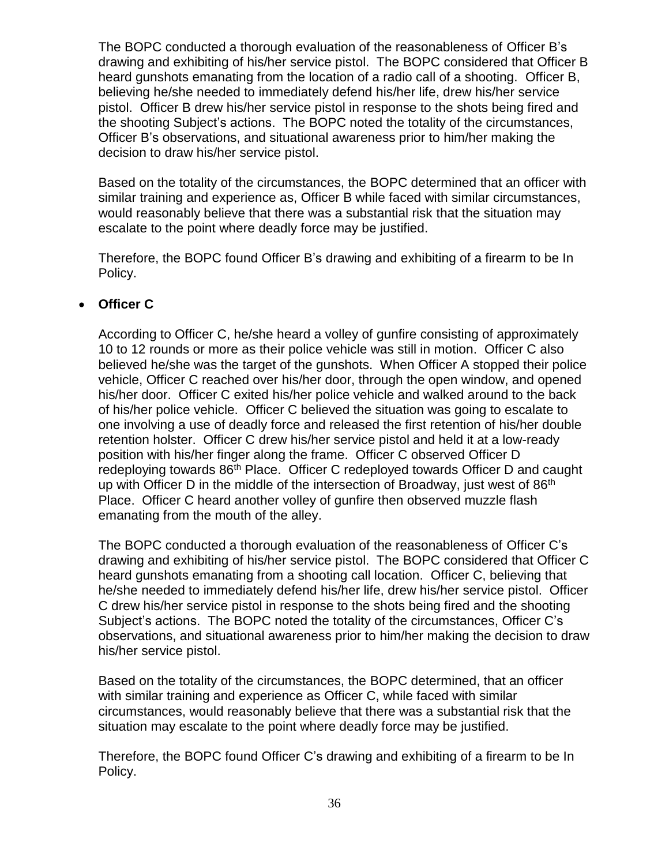The BOPC conducted a thorough evaluation of the reasonableness of Officer B's drawing and exhibiting of his/her service pistol. The BOPC considered that Officer B heard gunshots emanating from the location of a radio call of a shooting. Officer B, believing he/she needed to immediately defend his/her life, drew his/her service pistol. Officer B drew his/her service pistol in response to the shots being fired and the shooting Subject's actions. The BOPC noted the totality of the circumstances, Officer B's observations, and situational awareness prior to him/her making the decision to draw his/her service pistol.

Based on the totality of the circumstances, the BOPC determined that an officer with similar training and experience as, Officer B while faced with similar circumstances, would reasonably believe that there was a substantial risk that the situation may escalate to the point where deadly force may be justified.

Therefore, the BOPC found Officer B's drawing and exhibiting of a firearm to be In Policy.

## • **Officer C**

According to Officer C, he/she heard a volley of gunfire consisting of approximately 10 to 12 rounds or more as their police vehicle was still in motion. Officer C also believed he/she was the target of the gunshots. When Officer A stopped their police vehicle, Officer C reached over his/her door, through the open window, and opened his/her door. Officer C exited his/her police vehicle and walked around to the back of his/her police vehicle. Officer C believed the situation was going to escalate to one involving a use of deadly force and released the first retention of his/her double retention holster. Officer C drew his/her service pistol and held it at a low-ready position with his/her finger along the frame. Officer C observed Officer D redeploying towards 86<sup>th</sup> Place. Officer C redeployed towards Officer D and caught up with Officer D in the middle of the intersection of Broadway, just west of 86<sup>th</sup> Place. Officer C heard another volley of gunfire then observed muzzle flash emanating from the mouth of the alley.

The BOPC conducted a thorough evaluation of the reasonableness of Officer C's drawing and exhibiting of his/her service pistol. The BOPC considered that Officer C heard gunshots emanating from a shooting call location. Officer C, believing that he/she needed to immediately defend his/her life, drew his/her service pistol. Officer C drew his/her service pistol in response to the shots being fired and the shooting Subject's actions. The BOPC noted the totality of the circumstances, Officer C's observations, and situational awareness prior to him/her making the decision to draw his/her service pistol.

Based on the totality of the circumstances, the BOPC determined, that an officer with similar training and experience as Officer C, while faced with similar circumstances, would reasonably believe that there was a substantial risk that the situation may escalate to the point where deadly force may be justified.

Therefore, the BOPC found Officer C's drawing and exhibiting of a firearm to be In Policy.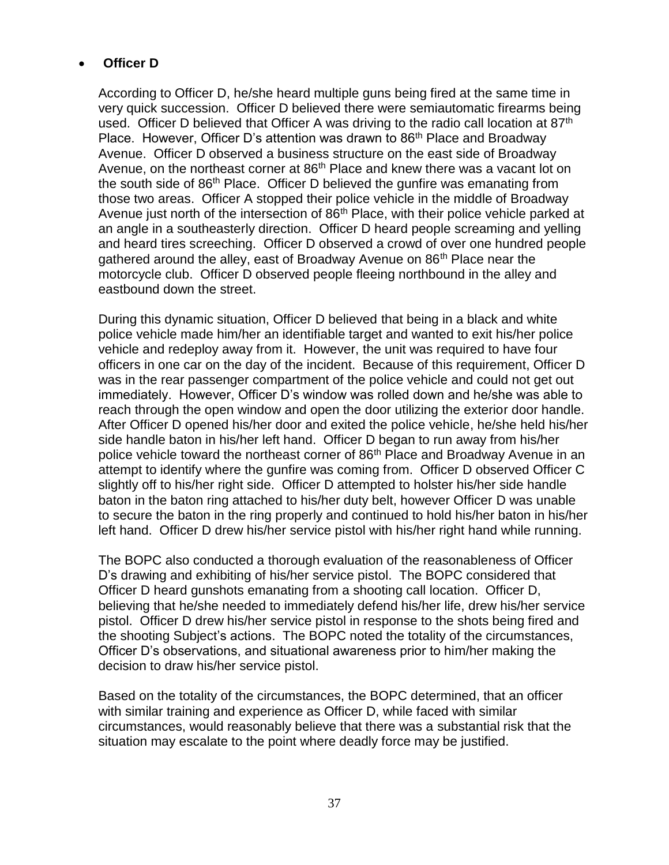# • **Officer D**

According to Officer D, he/she heard multiple guns being fired at the same time in very quick succession. Officer D believed there were semiautomatic firearms being used. Officer D believed that Officer A was driving to the radio call location at 87<sup>th</sup> Place. However, Officer D's attention was drawn to 86<sup>th</sup> Place and Broadway Avenue. Officer D observed a business structure on the east side of Broadway Avenue, on the northeast corner at 86<sup>th</sup> Place and knew there was a vacant lot on the south side of 86<sup>th</sup> Place. Officer D believed the gunfire was emanating from those two areas. Officer A stopped their police vehicle in the middle of Broadway Avenue just north of the intersection of 86<sup>th</sup> Place, with their police vehicle parked at an angle in a southeasterly direction. Officer D heard people screaming and yelling and heard tires screeching. Officer D observed a crowd of over one hundred people gathered around the alley, east of Broadway Avenue on 86<sup>th</sup> Place near the motorcycle club. Officer D observed people fleeing northbound in the alley and eastbound down the street.

During this dynamic situation, Officer D believed that being in a black and white police vehicle made him/her an identifiable target and wanted to exit his/her police vehicle and redeploy away from it. However, the unit was required to have four officers in one car on the day of the incident. Because of this requirement, Officer D was in the rear passenger compartment of the police vehicle and could not get out immediately. However, Officer D's window was rolled down and he/she was able to reach through the open window and open the door utilizing the exterior door handle. After Officer D opened his/her door and exited the police vehicle, he/she held his/her side handle baton in his/her left hand. Officer D began to run away from his/her police vehicle toward the northeast corner of 86<sup>th</sup> Place and Broadway Avenue in an attempt to identify where the gunfire was coming from. Officer D observed Officer C slightly off to his/her right side. Officer D attempted to holster his/her side handle baton in the baton ring attached to his/her duty belt, however Officer D was unable to secure the baton in the ring properly and continued to hold his/her baton in his/her left hand. Officer D drew his/her service pistol with his/her right hand while running.

The BOPC also conducted a thorough evaluation of the reasonableness of Officer D's drawing and exhibiting of his/her service pistol. The BOPC considered that Officer D heard gunshots emanating from a shooting call location. Officer D, believing that he/she needed to immediately defend his/her life, drew his/her service pistol. Officer D drew his/her service pistol in response to the shots being fired and the shooting Subject's actions. The BOPC noted the totality of the circumstances, Officer D's observations, and situational awareness prior to him/her making the decision to draw his/her service pistol.

Based on the totality of the circumstances, the BOPC determined, that an officer with similar training and experience as Officer D, while faced with similar circumstances, would reasonably believe that there was a substantial risk that the situation may escalate to the point where deadly force may be justified.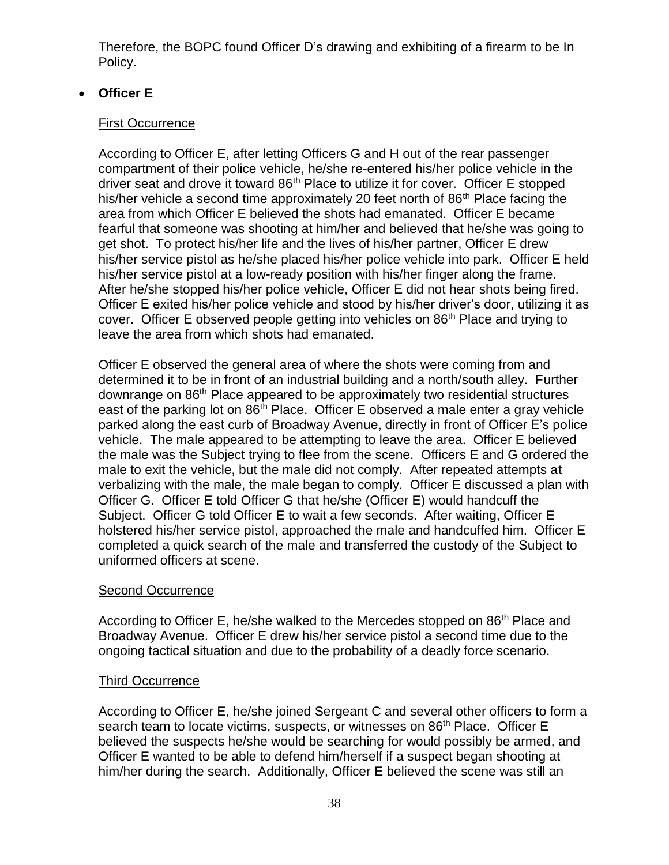Therefore, the BOPC found Officer D's drawing and exhibiting of a firearm to be In Policy.

# • **Officer E**

# First Occurrence

According to Officer E, after letting Officers G and H out of the rear passenger compartment of their police vehicle, he/she re-entered his/her police vehicle in the driver seat and drove it toward  $86<sup>th</sup>$  Place to utilize it for cover. Officer E stopped his/her vehicle a second time approximately 20 feet north of 86<sup>th</sup> Place facing the area from which Officer E believed the shots had emanated. Officer E became fearful that someone was shooting at him/her and believed that he/she was going to get shot. To protect his/her life and the lives of his/her partner, Officer E drew his/her service pistol as he/she placed his/her police vehicle into park. Officer E held his/her service pistol at a low-ready position with his/her finger along the frame. After he/she stopped his/her police vehicle, Officer E did not hear shots being fired. Officer E exited his/her police vehicle and stood by his/her driver's door, utilizing it as cover. Officer E observed people getting into vehicles on 86<sup>th</sup> Place and trying to leave the area from which shots had emanated.

Officer E observed the general area of where the shots were coming from and determined it to be in front of an industrial building and a north/south alley. Further downrange on 86<sup>th</sup> Place appeared to be approximately two residential structures east of the parking lot on 86<sup>th</sup> Place. Officer E observed a male enter a gray vehicle parked along the east curb of Broadway Avenue, directly in front of Officer E's police vehicle. The male appeared to be attempting to leave the area. Officer E believed the male was the Subject trying to flee from the scene. Officers E and G ordered the male to exit the vehicle, but the male did not comply. After repeated attempts at verbalizing with the male, the male began to comply. Officer E discussed a plan with Officer G. Officer E told Officer G that he/she (Officer E) would handcuff the Subject. Officer G told Officer E to wait a few seconds. After waiting, Officer E holstered his/her service pistol, approached the male and handcuffed him. Officer E completed a quick search of the male and transferred the custody of the Subject to uniformed officers at scene.

# Second Occurrence

According to Officer E, he/she walked to the Mercedes stopped on 86<sup>th</sup> Place and Broadway Avenue. Officer E drew his/her service pistol a second time due to the ongoing tactical situation and due to the probability of a deadly force scenario.

# Third Occurrence

According to Officer E, he/she joined Sergeant C and several other officers to form a search team to locate victims, suspects, or witnesses on 86<sup>th</sup> Place. Officer E believed the suspects he/she would be searching for would possibly be armed, and Officer E wanted to be able to defend him/herself if a suspect began shooting at him/her during the search. Additionally, Officer E believed the scene was still an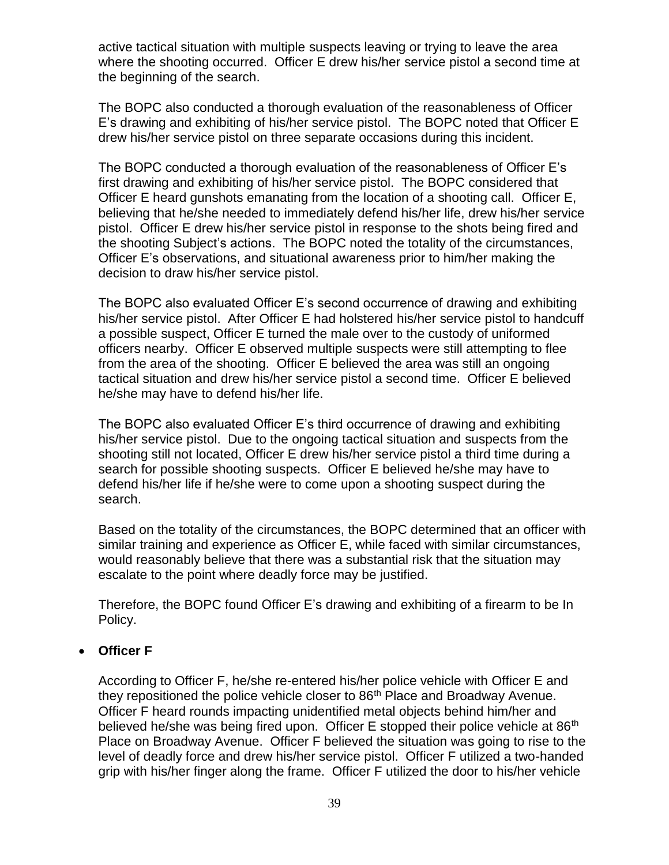active tactical situation with multiple suspects leaving or trying to leave the area where the shooting occurred. Officer E drew his/her service pistol a second time at the beginning of the search.

The BOPC also conducted a thorough evaluation of the reasonableness of Officer E's drawing and exhibiting of his/her service pistol. The BOPC noted that Officer E drew his/her service pistol on three separate occasions during this incident.

The BOPC conducted a thorough evaluation of the reasonableness of Officer E's first drawing and exhibiting of his/her service pistol. The BOPC considered that Officer E heard gunshots emanating from the location of a shooting call. Officer E, believing that he/she needed to immediately defend his/her life, drew his/her service pistol. Officer E drew his/her service pistol in response to the shots being fired and the shooting Subject's actions. The BOPC noted the totality of the circumstances, Officer E's observations, and situational awareness prior to him/her making the decision to draw his/her service pistol.

The BOPC also evaluated Officer E's second occurrence of drawing and exhibiting his/her service pistol. After Officer E had holstered his/her service pistol to handcuff a possible suspect, Officer E turned the male over to the custody of uniformed officers nearby. Officer E observed multiple suspects were still attempting to flee from the area of the shooting. Officer E believed the area was still an ongoing tactical situation and drew his/her service pistol a second time. Officer E believed he/she may have to defend his/her life.

The BOPC also evaluated Officer E's third occurrence of drawing and exhibiting his/her service pistol. Due to the ongoing tactical situation and suspects from the shooting still not located, Officer E drew his/her service pistol a third time during a search for possible shooting suspects. Officer E believed he/she may have to defend his/her life if he/she were to come upon a shooting suspect during the search.

Based on the totality of the circumstances, the BOPC determined that an officer with similar training and experience as Officer E, while faced with similar circumstances, would reasonably believe that there was a substantial risk that the situation may escalate to the point where deadly force may be justified.

Therefore, the BOPC found Officer E's drawing and exhibiting of a firearm to be In Policy.

## • **Officer F**

According to Officer F, he/she re-entered his/her police vehicle with Officer E and they repositioned the police vehicle closer to 86<sup>th</sup> Place and Broadway Avenue. Officer F heard rounds impacting unidentified metal objects behind him/her and believed he/she was being fired upon. Officer E stopped their police vehicle at 86<sup>th</sup> Place on Broadway Avenue. Officer F believed the situation was going to rise to the level of deadly force and drew his/her service pistol. Officer F utilized a two-handed grip with his/her finger along the frame. Officer F utilized the door to his/her vehicle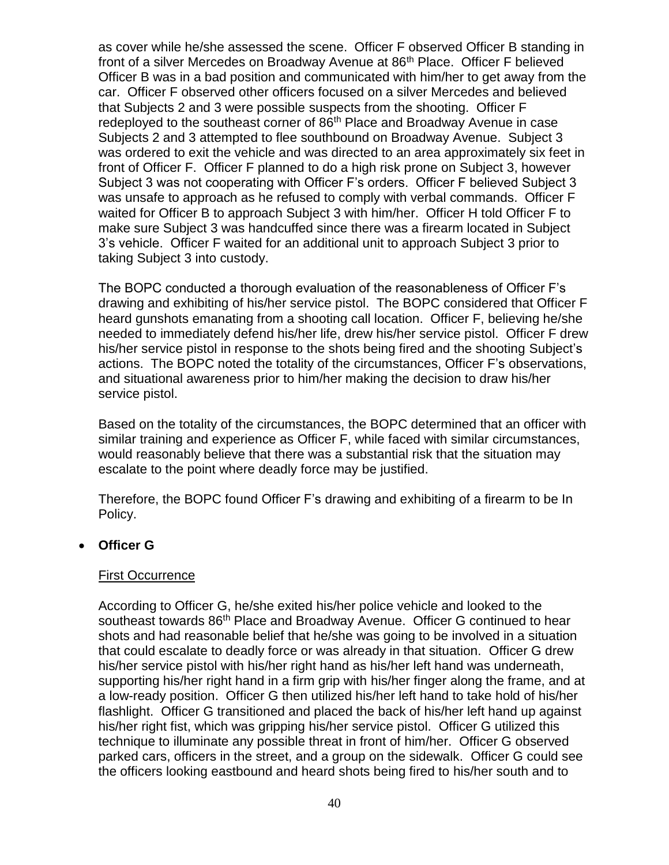as cover while he/she assessed the scene. Officer F observed Officer B standing in front of a silver Mercedes on Broadway Avenue at 86<sup>th</sup> Place. Officer F believed Officer B was in a bad position and communicated with him/her to get away from the car. Officer F observed other officers focused on a silver Mercedes and believed that Subjects 2 and 3 were possible suspects from the shooting. Officer F redeployed to the southeast corner of 86<sup>th</sup> Place and Broadway Avenue in case Subjects 2 and 3 attempted to flee southbound on Broadway Avenue. Subject 3 was ordered to exit the vehicle and was directed to an area approximately six feet in front of Officer F. Officer F planned to do a high risk prone on Subject 3, however Subject 3 was not cooperating with Officer F's orders. Officer F believed Subject 3 was unsafe to approach as he refused to comply with verbal commands. Officer F waited for Officer B to approach Subject 3 with him/her. Officer H told Officer F to make sure Subject 3 was handcuffed since there was a firearm located in Subject 3's vehicle. Officer F waited for an additional unit to approach Subject 3 prior to taking Subject 3 into custody.

The BOPC conducted a thorough evaluation of the reasonableness of Officer F's drawing and exhibiting of his/her service pistol. The BOPC considered that Officer F heard gunshots emanating from a shooting call location. Officer F, believing he/she needed to immediately defend his/her life, drew his/her service pistol. Officer F drew his/her service pistol in response to the shots being fired and the shooting Subject's actions. The BOPC noted the totality of the circumstances, Officer F's observations, and situational awareness prior to him/her making the decision to draw his/her service pistol.

Based on the totality of the circumstances, the BOPC determined that an officer with similar training and experience as Officer F, while faced with similar circumstances, would reasonably believe that there was a substantial risk that the situation may escalate to the point where deadly force may be justified.

Therefore, the BOPC found Officer F's drawing and exhibiting of a firearm to be In Policy.

## • **Officer G**

#### First Occurrence

According to Officer G, he/she exited his/her police vehicle and looked to the southeast towards 86<sup>th</sup> Place and Broadway Avenue. Officer G continued to hear shots and had reasonable belief that he/she was going to be involved in a situation that could escalate to deadly force or was already in that situation. Officer G drew his/her service pistol with his/her right hand as his/her left hand was underneath, supporting his/her right hand in a firm grip with his/her finger along the frame, and at a low-ready position. Officer G then utilized his/her left hand to take hold of his/her flashlight. Officer G transitioned and placed the back of his/her left hand up against his/her right fist, which was gripping his/her service pistol. Officer G utilized this technique to illuminate any possible threat in front of him/her. Officer G observed parked cars, officers in the street, and a group on the sidewalk. Officer G could see the officers looking eastbound and heard shots being fired to his/her south and to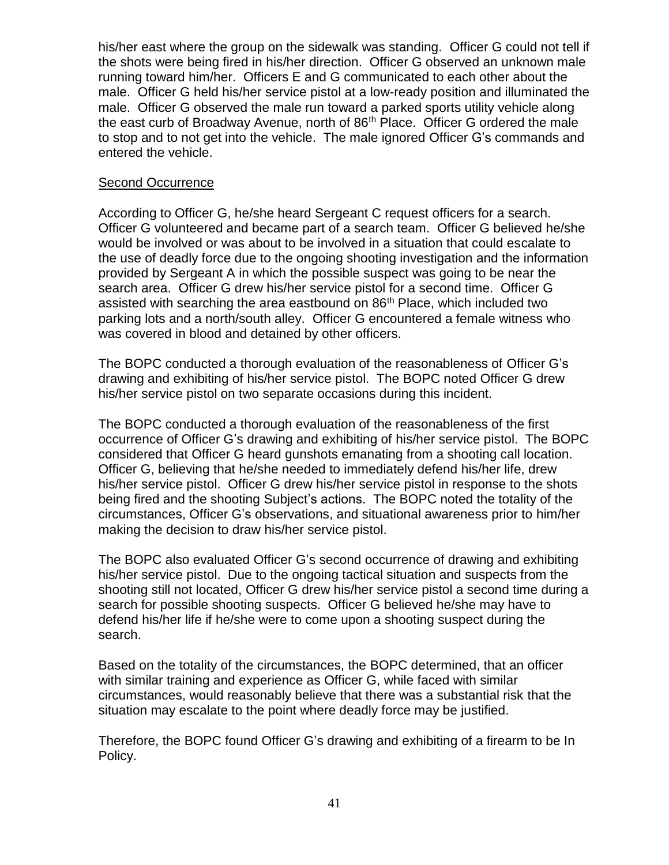his/her east where the group on the sidewalk was standing. Officer G could not tell if the shots were being fired in his/her direction. Officer G observed an unknown male running toward him/her. Officers E and G communicated to each other about the male. Officer G held his/her service pistol at a low-ready position and illuminated the male. Officer G observed the male run toward a parked sports utility vehicle along the east curb of Broadway Avenue, north of 86<sup>th</sup> Place. Officer G ordered the male to stop and to not get into the vehicle. The male ignored Officer G's commands and entered the vehicle.

#### Second Occurrence

According to Officer G, he/she heard Sergeant C request officers for a search. Officer G volunteered and became part of a search team. Officer G believed he/she would be involved or was about to be involved in a situation that could escalate to the use of deadly force due to the ongoing shooting investigation and the information provided by Sergeant A in which the possible suspect was going to be near the search area. Officer G drew his/her service pistol for a second time. Officer G assisted with searching the area eastbound on 86<sup>th</sup> Place, which included two parking lots and a north/south alley. Officer G encountered a female witness who was covered in blood and detained by other officers.

The BOPC conducted a thorough evaluation of the reasonableness of Officer G's drawing and exhibiting of his/her service pistol. The BOPC noted Officer G drew his/her service pistol on two separate occasions during this incident.

The BOPC conducted a thorough evaluation of the reasonableness of the first occurrence of Officer G's drawing and exhibiting of his/her service pistol. The BOPC considered that Officer G heard gunshots emanating from a shooting call location. Officer G, believing that he/she needed to immediately defend his/her life, drew his/her service pistol. Officer G drew his/her service pistol in response to the shots being fired and the shooting Subject's actions. The BOPC noted the totality of the circumstances, Officer G's observations, and situational awareness prior to him/her making the decision to draw his/her service pistol.

The BOPC also evaluated Officer G's second occurrence of drawing and exhibiting his/her service pistol. Due to the ongoing tactical situation and suspects from the shooting still not located, Officer G drew his/her service pistol a second time during a search for possible shooting suspects. Officer G believed he/she may have to defend his/her life if he/she were to come upon a shooting suspect during the search.

Based on the totality of the circumstances, the BOPC determined, that an officer with similar training and experience as Officer G, while faced with similar circumstances, would reasonably believe that there was a substantial risk that the situation may escalate to the point where deadly force may be justified.

Therefore, the BOPC found Officer G's drawing and exhibiting of a firearm to be In Policy.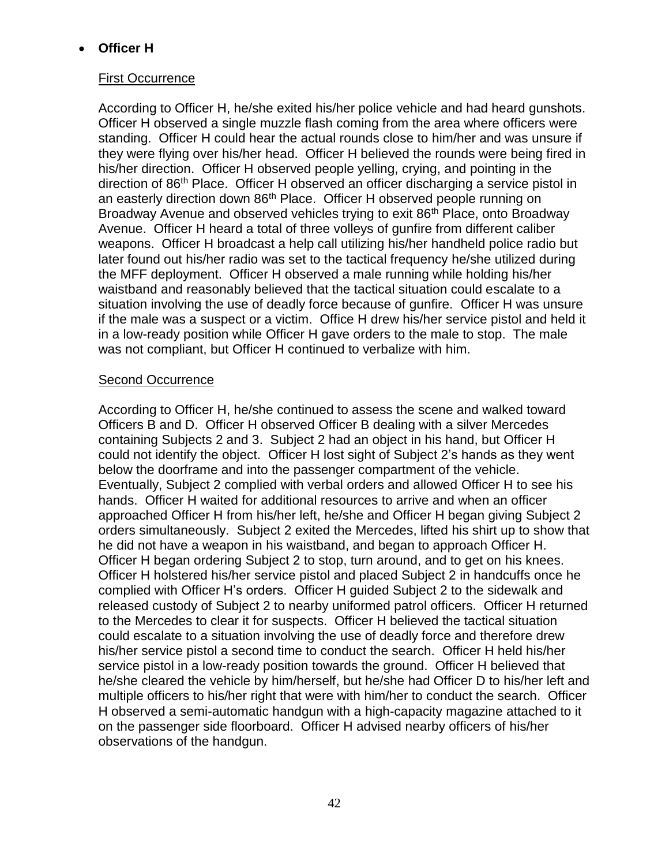# • **Officer H**

### First Occurrence

According to Officer H, he/she exited his/her police vehicle and had heard gunshots. Officer H observed a single muzzle flash coming from the area where officers were standing. Officer H could hear the actual rounds close to him/her and was unsure if they were flying over his/her head. Officer H believed the rounds were being fired in his/her direction. Officer H observed people yelling, crying, and pointing in the direction of 86<sup>th</sup> Place. Officer H observed an officer discharging a service pistol in an easterly direction down 86<sup>th</sup> Place. Officer H observed people running on Broadway Avenue and observed vehicles trying to exit 86<sup>th</sup> Place, onto Broadway Avenue. Officer H heard a total of three volleys of gunfire from different caliber weapons. Officer H broadcast a help call utilizing his/her handheld police radio but later found out his/her radio was set to the tactical frequency he/she utilized during the MFF deployment. Officer H observed a male running while holding his/her waistband and reasonably believed that the tactical situation could escalate to a situation involving the use of deadly force because of gunfire. Officer H was unsure if the male was a suspect or a victim. Office H drew his/her service pistol and held it in a low-ready position while Officer H gave orders to the male to stop. The male was not compliant, but Officer H continued to verbalize with him.

#### Second Occurrence

According to Officer H, he/she continued to assess the scene and walked toward Officers B and D. Officer H observed Officer B dealing with a silver Mercedes containing Subjects 2 and 3. Subject 2 had an object in his hand, but Officer H could not identify the object. Officer H lost sight of Subject 2's hands as they went below the doorframe and into the passenger compartment of the vehicle. Eventually, Subject 2 complied with verbal orders and allowed Officer H to see his hands. Officer H waited for additional resources to arrive and when an officer approached Officer H from his/her left, he/she and Officer H began giving Subject 2 orders simultaneously. Subject 2 exited the Mercedes, lifted his shirt up to show that he did not have a weapon in his waistband, and began to approach Officer H. Officer H began ordering Subject 2 to stop, turn around, and to get on his knees. Officer H holstered his/her service pistol and placed Subject 2 in handcuffs once he complied with Officer H's orders. Officer H guided Subject 2 to the sidewalk and released custody of Subject 2 to nearby uniformed patrol officers. Officer H returned to the Mercedes to clear it for suspects. Officer H believed the tactical situation could escalate to a situation involving the use of deadly force and therefore drew his/her service pistol a second time to conduct the search. Officer H held his/her service pistol in a low-ready position towards the ground. Officer H believed that he/she cleared the vehicle by him/herself, but he/she had Officer D to his/her left and multiple officers to his/her right that were with him/her to conduct the search. Officer H observed a semi-automatic handgun with a high-capacity magazine attached to it on the passenger side floorboard. Officer H advised nearby officers of his/her observations of the handgun.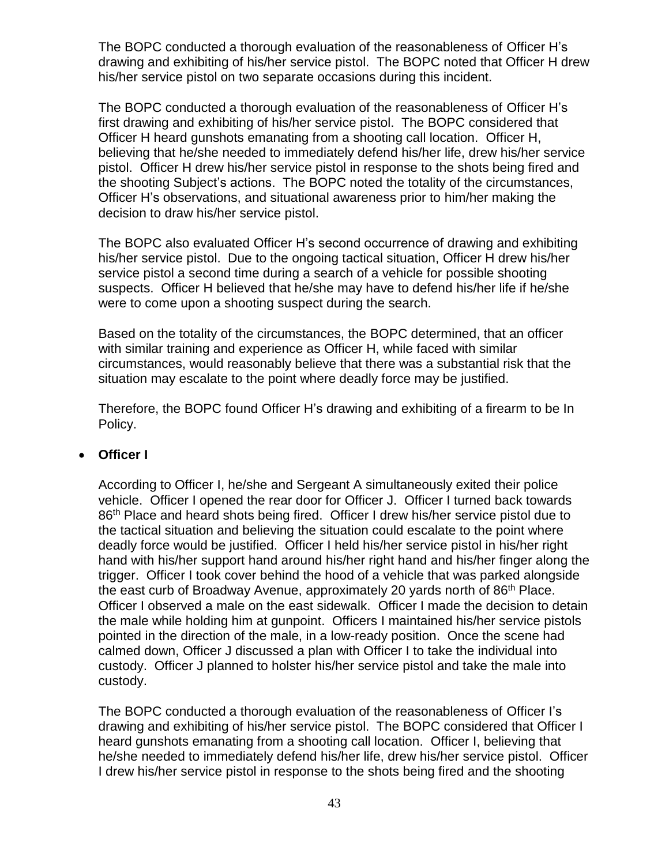The BOPC conducted a thorough evaluation of the reasonableness of Officer H's drawing and exhibiting of his/her service pistol. The BOPC noted that Officer H drew his/her service pistol on two separate occasions during this incident.

The BOPC conducted a thorough evaluation of the reasonableness of Officer H's first drawing and exhibiting of his/her service pistol. The BOPC considered that Officer H heard gunshots emanating from a shooting call location. Officer H, believing that he/she needed to immediately defend his/her life, drew his/her service pistol. Officer H drew his/her service pistol in response to the shots being fired and the shooting Subject's actions. The BOPC noted the totality of the circumstances, Officer H's observations, and situational awareness prior to him/her making the decision to draw his/her service pistol.

The BOPC also evaluated Officer H's second occurrence of drawing and exhibiting his/her service pistol. Due to the ongoing tactical situation, Officer H drew his/her service pistol a second time during a search of a vehicle for possible shooting suspects. Officer H believed that he/she may have to defend his/her life if he/she were to come upon a shooting suspect during the search.

Based on the totality of the circumstances, the BOPC determined, that an officer with similar training and experience as Officer H, while faced with similar circumstances, would reasonably believe that there was a substantial risk that the situation may escalate to the point where deadly force may be justified.

Therefore, the BOPC found Officer H's drawing and exhibiting of a firearm to be In Policy.

## • **Officer I**

According to Officer I, he/she and Sergeant A simultaneously exited their police vehicle. Officer I opened the rear door for Officer J. Officer I turned back towards 86<sup>th</sup> Place and heard shots being fired. Officer I drew his/her service pistol due to the tactical situation and believing the situation could escalate to the point where deadly force would be justified. Officer I held his/her service pistol in his/her right hand with his/her support hand around his/her right hand and his/her finger along the trigger. Officer I took cover behind the hood of a vehicle that was parked alongside the east curb of Broadway Avenue, approximately 20 yards north of 86<sup>th</sup> Place. Officer I observed a male on the east sidewalk. Officer I made the decision to detain the male while holding him at gunpoint. Officers I maintained his/her service pistols pointed in the direction of the male, in a low-ready position. Once the scene had calmed down, Officer J discussed a plan with Officer I to take the individual into custody. Officer J planned to holster his/her service pistol and take the male into custody.

The BOPC conducted a thorough evaluation of the reasonableness of Officer I's drawing and exhibiting of his/her service pistol. The BOPC considered that Officer I heard gunshots emanating from a shooting call location. Officer I, believing that he/she needed to immediately defend his/her life, drew his/her service pistol. Officer I drew his/her service pistol in response to the shots being fired and the shooting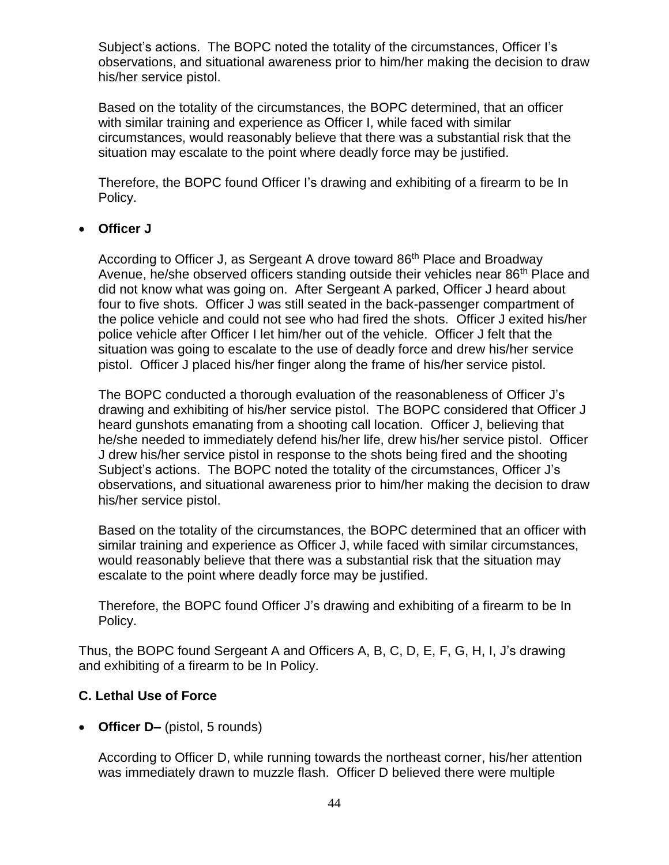Subject's actions. The BOPC noted the totality of the circumstances, Officer I's observations, and situational awareness prior to him/her making the decision to draw his/her service pistol.

Based on the totality of the circumstances, the BOPC determined, that an officer with similar training and experience as Officer I, while faced with similar circumstances, would reasonably believe that there was a substantial risk that the situation may escalate to the point where deadly force may be justified.

Therefore, the BOPC found Officer I's drawing and exhibiting of a firearm to be In Policy.

# • **Officer J**

According to Officer J, as Sergeant A drove toward 86<sup>th</sup> Place and Broadway Avenue, he/she observed officers standing outside their vehicles near 86<sup>th</sup> Place and did not know what was going on. After Sergeant A parked, Officer J heard about four to five shots. Officer J was still seated in the back-passenger compartment of the police vehicle and could not see who had fired the shots. Officer J exited his/her police vehicle after Officer I let him/her out of the vehicle. Officer J felt that the situation was going to escalate to the use of deadly force and drew his/her service pistol. Officer J placed his/her finger along the frame of his/her service pistol.

The BOPC conducted a thorough evaluation of the reasonableness of Officer J's drawing and exhibiting of his/her service pistol. The BOPC considered that Officer J heard gunshots emanating from a shooting call location. Officer J, believing that he/she needed to immediately defend his/her life, drew his/her service pistol. Officer J drew his/her service pistol in response to the shots being fired and the shooting Subject's actions. The BOPC noted the totality of the circumstances, Officer J's observations, and situational awareness prior to him/her making the decision to draw his/her service pistol.

Based on the totality of the circumstances, the BOPC determined that an officer with similar training and experience as Officer J, while faced with similar circumstances, would reasonably believe that there was a substantial risk that the situation may escalate to the point where deadly force may be justified.

Therefore, the BOPC found Officer J's drawing and exhibiting of a firearm to be In Policy.

Thus, the BOPC found Sergeant A and Officers A, B, C, D, E, F, G, H, I, J's drawing and exhibiting of a firearm to be In Policy.

# **C. Lethal Use of Force**

• **Officer D–** (pistol, 5 rounds)

According to Officer D, while running towards the northeast corner, his/her attention was immediately drawn to muzzle flash. Officer D believed there were multiple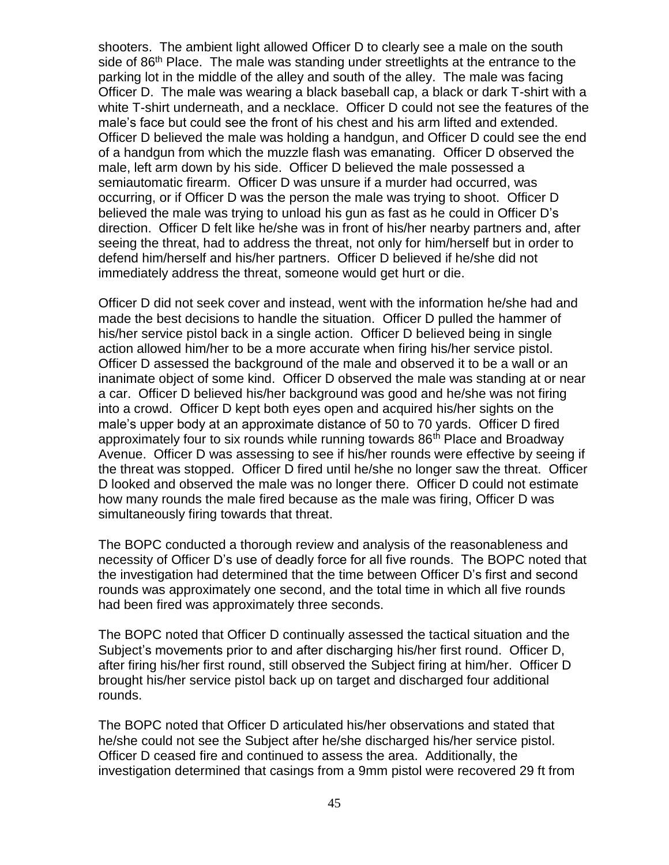shooters. The ambient light allowed Officer D to clearly see a male on the south side of 86<sup>th</sup> Place. The male was standing under streetlights at the entrance to the parking lot in the middle of the alley and south of the alley. The male was facing Officer D. The male was wearing a black baseball cap, a black or dark T-shirt with a white T-shirt underneath, and a necklace. Officer D could not see the features of the male's face but could see the front of his chest and his arm lifted and extended. Officer D believed the male was holding a handgun, and Officer D could see the end of a handgun from which the muzzle flash was emanating. Officer D observed the male, left arm down by his side. Officer D believed the male possessed a semiautomatic firearm. Officer D was unsure if a murder had occurred, was occurring, or if Officer D was the person the male was trying to shoot. Officer D believed the male was trying to unload his gun as fast as he could in Officer D's direction. Officer D felt like he/she was in front of his/her nearby partners and, after seeing the threat, had to address the threat, not only for him/herself but in order to defend him/herself and his/her partners. Officer D believed if he/she did not immediately address the threat, someone would get hurt or die.

Officer D did not seek cover and instead, went with the information he/she had and made the best decisions to handle the situation. Officer D pulled the hammer of his/her service pistol back in a single action. Officer D believed being in single action allowed him/her to be a more accurate when firing his/her service pistol. Officer D assessed the background of the male and observed it to be a wall or an inanimate object of some kind. Officer D observed the male was standing at or near a car. Officer D believed his/her background was good and he/she was not firing into a crowd. Officer D kept both eyes open and acquired his/her sights on the male's upper body at an approximate distance of 50 to 70 yards. Officer D fired approximately four to six rounds while running towards 86<sup>th</sup> Place and Broadway Avenue. Officer D was assessing to see if his/her rounds were effective by seeing if the threat was stopped. Officer D fired until he/she no longer saw the threat. Officer D looked and observed the male was no longer there. Officer D could not estimate how many rounds the male fired because as the male was firing, Officer D was simultaneously firing towards that threat.

The BOPC conducted a thorough review and analysis of the reasonableness and necessity of Officer D's use of deadly force for all five rounds. The BOPC noted that the investigation had determined that the time between Officer D's first and second rounds was approximately one second, and the total time in which all five rounds had been fired was approximately three seconds.

The BOPC noted that Officer D continually assessed the tactical situation and the Subject's movements prior to and after discharging his/her first round. Officer D, after firing his/her first round, still observed the Subject firing at him/her. Officer D brought his/her service pistol back up on target and discharged four additional rounds.

The BOPC noted that Officer D articulated his/her observations and stated that he/she could not see the Subject after he/she discharged his/her service pistol. Officer D ceased fire and continued to assess the area. Additionally, the investigation determined that casings from a 9mm pistol were recovered 29 ft from